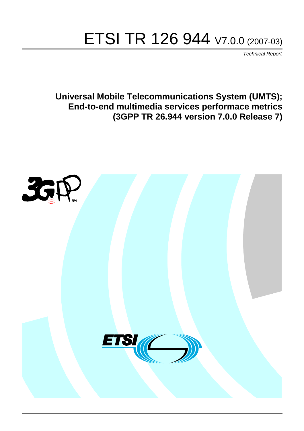# ETSI TR 126 944 V7.0.0 (2007-03)

*Technical Report*

**Universal Mobile Telecommunications System (UMTS); End-to-end multimedia services performace metrics (3GPP TR 26.944 version 7.0.0 Release 7)**

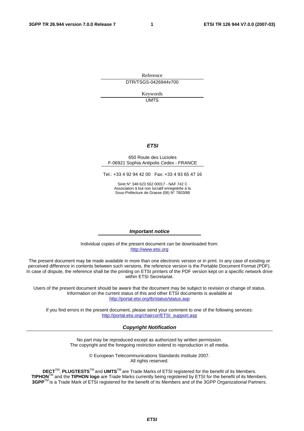Reference DTR/TSGS-0426944v700

> Keywords UMTS

#### *ETSI*

#### 650 Route des Lucioles F-06921 Sophia Antipolis Cedex - FRANCE

Tel.: +33 4 92 94 42 00 Fax: +33 4 93 65 47 16

Siret N° 348 623 562 00017 - NAF 742 C Association à but non lucratif enregistrée à la Sous-Préfecture de Grasse (06) N° 7803/88

#### *Important notice*

Individual copies of the present document can be downloaded from: [http://www.etsi.org](http://www.etsi.org/)

The present document may be made available in more than one electronic version or in print. In any case of existing or perceived difference in contents between such versions, the reference version is the Portable Document Format (PDF). In case of dispute, the reference shall be the printing on ETSI printers of the PDF version kept on a specific network drive within ETSI Secretariat.

Users of the present document should be aware that the document may be subject to revision or change of status. Information on the current status of this and other ETSI documents is available at <http://portal.etsi.org/tb/status/status.asp>

If you find errors in the present document, please send your comment to one of the following services: [http://portal.etsi.org/chaircor/ETSI\\_support.asp](http://portal.etsi.org/chaircor/ETSI_support.asp)

#### *Copyright Notification*

No part may be reproduced except as authorized by written permission. The copyright and the foregoing restriction extend to reproduction in all media.

> © European Telecommunications Standards Institute 2007. All rights reserved.

**DECT**TM, **PLUGTESTS**TM and **UMTS**TM are Trade Marks of ETSI registered for the benefit of its Members. **TIPHON**TM and the **TIPHON logo** are Trade Marks currently being registered by ETSI for the benefit of its Members. **3GPP**TM is a Trade Mark of ETSI registered for the benefit of its Members and of the 3GPP Organizational Partners.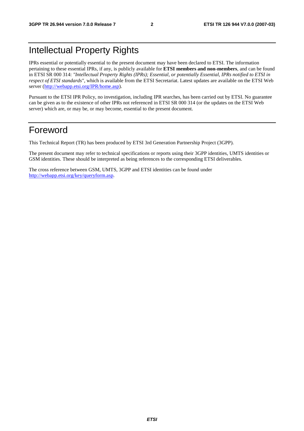# Intellectual Property Rights

IPRs essential or potentially essential to the present document may have been declared to ETSI. The information pertaining to these essential IPRs, if any, is publicly available for **ETSI members and non-members**, and can be found in ETSI SR 000 314: *"Intellectual Property Rights (IPRs); Essential, or potentially Essential, IPRs notified to ETSI in respect of ETSI standards"*, which is available from the ETSI Secretariat. Latest updates are available on the ETSI Web server ([http://webapp.etsi.org/IPR/home.asp\)](http://webapp.etsi.org/IPR/home.asp).

Pursuant to the ETSI IPR Policy, no investigation, including IPR searches, has been carried out by ETSI. No guarantee can be given as to the existence of other IPRs not referenced in ETSI SR 000 314 (or the updates on the ETSI Web server) which are, or may be, or may become, essential to the present document.

# Foreword

This Technical Report (TR) has been produced by ETSI 3rd Generation Partnership Project (3GPP).

The present document may refer to technical specifications or reports using their 3GPP identities, UMTS identities or GSM identities. These should be interpreted as being references to the corresponding ETSI deliverables.

The cross reference between GSM, UMTS, 3GPP and ETSI identities can be found under [http://webapp.etsi.org/key/queryform.asp.](http://webapp.etsi.org/key/queryform.asp)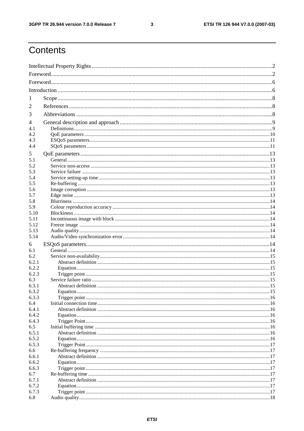$\mathbf{3}$ 

# Contents

| 1            |  |  |  |
|--------------|--|--|--|
|              |  |  |  |
| 2            |  |  |  |
| 3            |  |  |  |
| 4            |  |  |  |
| 4.1          |  |  |  |
| 4.2          |  |  |  |
| 4.3          |  |  |  |
| 4.4          |  |  |  |
| 5            |  |  |  |
| 5.1          |  |  |  |
| 5.2          |  |  |  |
| 5.3          |  |  |  |
| 5.4          |  |  |  |
| 5.5<br>5.6   |  |  |  |
| 5.7          |  |  |  |
| 5.8          |  |  |  |
| 5.9          |  |  |  |
| 5.10         |  |  |  |
| 5.11         |  |  |  |
| 5.12         |  |  |  |
| 5.13         |  |  |  |
| 5.14         |  |  |  |
| 6            |  |  |  |
| 6.1          |  |  |  |
| 6.2          |  |  |  |
| 6.2.1        |  |  |  |
| 6.2.2        |  |  |  |
| 6.2.3<br>6.3 |  |  |  |
| 6.3.1        |  |  |  |
| 6.3.2        |  |  |  |
| 6.3.3        |  |  |  |
| 6.4          |  |  |  |
| 6.4.1        |  |  |  |
| 6.4.2        |  |  |  |
| 6.4.3        |  |  |  |
| 6.5          |  |  |  |
| 6.5.1        |  |  |  |
| 6.5.2        |  |  |  |
| 6.5.3<br>6.6 |  |  |  |
| 6.6.1        |  |  |  |
| 6.6.2        |  |  |  |
| 6.6.3        |  |  |  |
| 6.7          |  |  |  |
| 6.7.1        |  |  |  |
| 6.7.2        |  |  |  |
| 6.7.3        |  |  |  |
| 6.8          |  |  |  |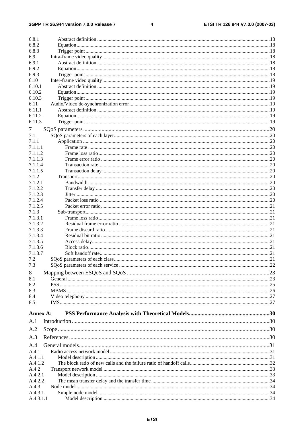#### $\overline{\mathbf{4}}$

| 6.8.1              |  |
|--------------------|--|
| 6.8.2              |  |
| 6.8.3              |  |
| 6.9                |  |
| 6.9.1              |  |
| 6.9.2              |  |
| 6.9.3              |  |
| 6.10               |  |
| 6.10.1             |  |
| 6.10.2             |  |
| 6.10.3             |  |
| 6.11               |  |
| 6.11.1             |  |
| 6.11.2             |  |
| 6.11.3             |  |
| 7                  |  |
| 7.1                |  |
| 7.1.1              |  |
| 7.1.1.1            |  |
| 7.1.1.2            |  |
| 7.1.1.3            |  |
| 7.1.1.4            |  |
| 7.1.1.5            |  |
| 7.1.2              |  |
| 7.1.2.1            |  |
| 7.1.2.2            |  |
| 7.1.2.3            |  |
| 7.1.2.4            |  |
| 7.1.2.5            |  |
| 7.1.3              |  |
| 7.1.3.1            |  |
| 7.1.3.2            |  |
| 7.1.3.3            |  |
| 7.1.3.4<br>7.1.3.5 |  |
| 7.1.3.6            |  |
| 7.1.3.7            |  |
| 7.2                |  |
| 7.3                |  |
|                    |  |
| 8<br>8.1           |  |
| 8.2                |  |
| 8.3                |  |
| 8.4                |  |
| 8.5                |  |
|                    |  |
| Annex A:           |  |
| A.1                |  |
| A.2                |  |
| A.3                |  |
| A.4                |  |
| A.4.1              |  |
| A.4.1.1            |  |
| A.4.1.2            |  |
| A.4.2              |  |
| A.4.2.1            |  |
| A.4.2.2            |  |
| A.4.3              |  |
| A.4.3.1            |  |
| A.4.3.1.1          |  |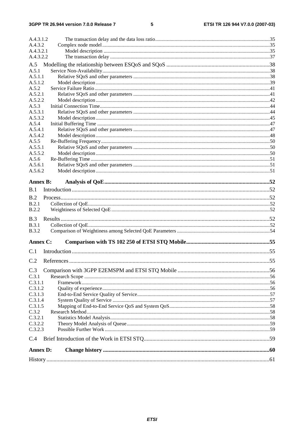#### $\overline{\mathbf{5}}$

| A.4.3.1.2           |  |
|---------------------|--|
| A.4.3.2             |  |
| A.4.3.2.1           |  |
| A.4.3.2.2           |  |
| A.5                 |  |
| A.5.1               |  |
| A.5.1.1             |  |
| A.5.1.2             |  |
| A.5.2               |  |
| A.5.2.1             |  |
| A.5.2.2             |  |
| A.5.3               |  |
| A.5.3.1             |  |
| A.5.3.2             |  |
| A.5.4               |  |
| A.5.4.1             |  |
| A.5.4.2             |  |
| A.5.5               |  |
| A.5.5.1             |  |
| A.5.5.2             |  |
| A.5.6               |  |
| A.5.6.1             |  |
| A.5.6.2             |  |
| <b>Annex B:</b>     |  |
| B.1                 |  |
|                     |  |
| Process 1.52<br>B.2 |  |
| B.2.1               |  |
| <b>B.2.2</b>        |  |
| B.3                 |  |
| <b>B.3.1</b>        |  |
| <b>B.3.2</b>        |  |
| Annex C:            |  |
|                     |  |
| C.1                 |  |
| C.2                 |  |
| C.3                 |  |
| C.3.1               |  |
| C.3.1.1             |  |
| C.3.1.2             |  |
| C.3.1.3             |  |
| C.3.1.4             |  |
| C.3.1.5             |  |
| C.3.2               |  |
| C.3.2.1             |  |
| C.3.2.2             |  |
| C.3.2.3             |  |
| C.4                 |  |
|                     |  |
| <b>Annex D:</b>     |  |
|                     |  |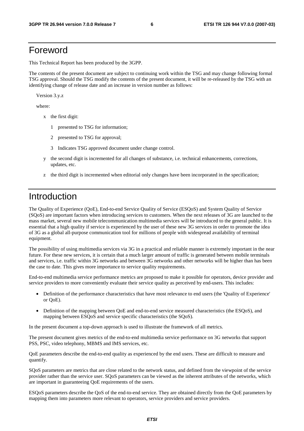## Foreword

This Technical Report has been produced by the 3GPP.

The contents of the present document are subject to continuing work within the TSG and may change following formal TSG approval. Should the TSG modify the contents of the present document, it will be re-released by the TSG with an identifying change of release date and an increase in version number as follows:

Version 3.y.z

where:

- x the first digit:
	- 1 presented to TSG for information;
	- 2 presented to TSG for approval;
	- 3 Indicates TSG approved document under change control.
- y the second digit is incremented for all changes of substance, i.e. technical enhancements, corrections, updates, etc.
- z the third digit is incremented when editorial only changes have been incorporated in the specification;

# Introduction

The Quality of Experience (QoE), End-to-end Service Quality of Service (ESQoS) and System Quality of Service (SQoS) are important factors when introducing services to customers. When the next releases of 3G are launched to the mass market, several new mobile telecommunication multimedia services will be introduced to the general public. It is essential that a high quality if service is experienced by the user of these new 3G services in order to promote the idea of 3G as a global all-purpose communication tool for millions of people with widespread availability of terminal equipment.

The possibility of using multimedia services via 3G in a practical and reliable manner is extremely important in the near future. For these new services, it is certain that a much larger amount of traffic is generated between mobile terminals and services, i.e. traffic within 3G networks and between 3G networks and other networks will be higher than has been the case to date. This gives more importance to service quality requirements.

End-to-end multimedia service performance metrics are proposed to make it possible for operators, device provider and service providers to more conveniently evaluate their service quality as perceived by end-users. This includes:

- Definition of the performance characteristics that have most relevance to end users (the 'Quality of Experience' or QoE).
- Definition of the mapping between QoE and end-to-end service measured characteristics (the ESQoS), and mapping between ESQoS and service specific characteristics (the SQoS).

In the present document a top-down approach is used to illustrate the framework of all metrics.

The present document gives metrics of the end-to-end multimedia service performance on 3G networks that support PSS, PSC, video telephony, MBMS and IMS services, etc.

QoE parameters describe the end-to-end quality as experienced by the end users. These are difficult to measure and quantify.

SQoS parameters are metrics that are close related to the network status, and defined from the viewpoint of the service provider rather than the service user. SQoS parameters can be viewed as the inherent attributes of the networks, which are important in guaranteeing QoE requirements of the users.

ESQoS parameters describe the QoS of the end-to-end service. They are obtained directly from the QoE parameters by mapping them into parameters more relevant to operators, service providers and service providers.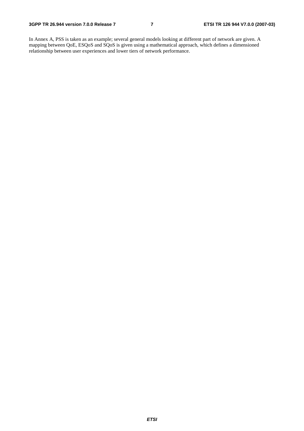In Annex A, PSS is taken as an example; several general models looking at different part of network are given. A mapping between QoE, ESQoS and SQoS is given using a mathematical approach, which defines a dimensioned relationship between user experiences and lower tiers of network performance.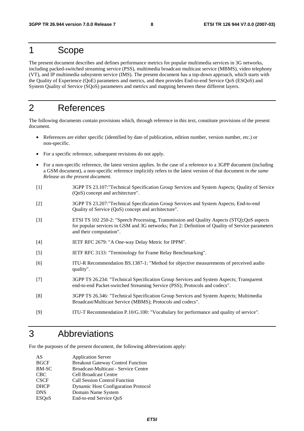## 1 Scope

The present document describes and defines performance metrics for popular multimedia services in 3G networks, including packed-switched streaming service (PSS), multimedia broadcast multicast service (MBMS), video telephony (VT), and IP multimedia subsystem service (IMS). The present document has a top-down approach, which starts with the Quality of Experience (QoE) parameters and metrics, and then provides End-to-end Service QoS (ESQoS) and System Quality of Service (SQoS) parameters and metrics and mapping between these different layers.

# 2 References

The following documents contain provisions which, through reference in this text, constitute provisions of the present document.

- References are either specific (identified by date of publication, edition number, version number, etc.) or non-specific.
- For a specific reference, subsequent revisions do not apply.
- For a non-specific reference, the latest version applies. In the case of a reference to a 3GPP document (including a GSM document), a non-specific reference implicitly refers to the latest version of that document *in the same Release as the present document*.
- [1] 3GPP TS 23.107:"Technical Specification Group Services and System Aspects; Quality of Service (QoS) concept and architecture".
- [2] 3GPP TS 23.207:"Technical Specification Group Services and System Aspects; End-to-end Quality of Service (QoS) concept and architecture".
- [3] ETSI TS 102 250-2: "Speech Processing, Transmission and Quality Aspects (STQ);QoS aspects for popular services in GSM and 3G networks; Part 2: Definition of Quality of Service parameters and their computation".
- [4] IETF RFC 2679: "A One-way Delay Metric for IPPM".
- [5] IETF RFC 3133: "Terminology for Frame Relay Benchmarking".
- [6] ITU-R Recommendation BS.1387-1: "Method for objective measurements of perceived audio quality".
- [7] 3GPP TS 26.234: "Technical Specification Group Services and System Aspects; Transparent end-to-end Packet-switched Streaming Service (PSS); Protocols and codecs".
- [8] 3GPP TS 26.346: "Technical Specification Group Services and System Aspects; Multimedia Broadcast/Multicast Service (MBMS); Protocols and codecs".
- [9] ITU-T Recommendation P.10/G.100: "Vocabulary for performance and quality of service".

## 3 Abbreviations

For the purposes of the present document, the following abbreviations apply:

| AS                        | <b>Application Server</b>                   |
|---------------------------|---------------------------------------------|
| <b>BGCF</b>               | <b>Breakout Gateway Control Function</b>    |
| <b>BM-SC</b>              | <b>Broadcast-Multicast - Service Centre</b> |
| <b>CBC</b>                | <b>Cell Broadcast Centre</b>                |
| <b>CSCF</b>               | <b>Call Session Control Function</b>        |
| <b>DHCP</b>               | <b>Dynamic Host Configuration Protocol</b>  |
| <b>DNS</b>                | Domain Name System                          |
| <b>ESO</b> <sub>o</sub> S | End-to-end Service QoS                      |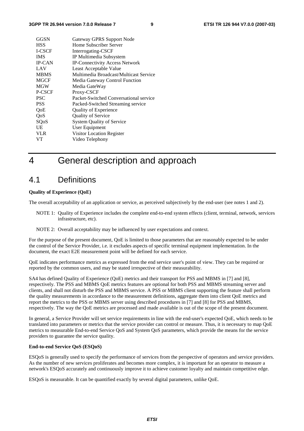| GGSN          | Gateway GPRS Support Node              |  |
|---------------|----------------------------------------|--|
| <b>HSS</b>    | Home Subscriber Server                 |  |
| <b>I-CSCF</b> | Interrogating-CSCF                     |  |
| <b>IMS</b>    | IP Multimedia Subsystem                |  |
| <b>IP-CAN</b> | <b>IP-Connectivity Access Network</b>  |  |
| LAV           | Least Acceptable Value                 |  |
| <b>MBMS</b>   | Multimedia Broadcast/Multicast Service |  |
| <b>MGCF</b>   | Media Gateway Control Function         |  |
| <b>MGW</b>    | Media GateWay                          |  |
| P-CSCF        | Proxy-CSCF                             |  |
| <b>PSC</b>    | Packet-Switched Conversational service |  |
| <b>PSS</b>    | Packed-Switched Streaming service      |  |
| QoE           | Quality of Experience                  |  |
| QoS           | <b>Quality of Service</b>              |  |
| SQoS          | <b>System Quality of Service</b>       |  |
| UE            | User Equipment                         |  |
| <b>VLR</b>    | Visitor Location Register              |  |
| VТ            | Video Telephony                        |  |

# 4 General description and approach

## 4.1 Definitions

#### **Quality of Experience (QoE)**

The overall acceptability of an application or service, as perceived subjectively by the end-user (see notes 1 and 2).

- NOTE 1: Quality of Experience includes the complete end-to-end system effects (client, terminal, network, services infrastructure, etc).
- NOTE 2: Overall acceptability may be influenced by user expectations and context.

For the purpose of the present document, QoE is limited to those parameters that are reasonably expected to be under the control of the Service Provider, i.e. it excludes aspects of specific terminal equipment implementation. In the document, the exact E2E measurement point will be defined for each service.

QoE indicates performance metrics as expressed from the end service user's point of view. They can be required or reported by the common users, and may be stated irrespective of their measurability.

SA4 has defined Quality of Experience (QoE) metrics and their transport for PSS and MBMS in [7] and [8], respectively. The PSS and MBMS QoE metrics features are optional for both PSS and MBMS streaming server and clients, and shall not disturb the PSS and MBMS service. A PSS or MBMS client supporting the feature shall perform the quality measurements in accordance to the measurement definitions, aggregate them into client QoE metrics and report the metrics to the PSS or MBMS server using described procedures in [7] and [8] for PSS and MBMS, respectively. The way the QoE metrics are processed and made available is out of the scope of the present document.

In general, a Service Provider will set service requirements in line with the end-user's expected QoE, which needs to be translated into parameters or metrics that the service provider can control or measure. Thus, it is necessary to map QoE metrics to measurable End-to-end Service QoS and System QoS parameters, which provide the means for the service providers to guarantee the service quality.

#### **End-to-end Service QoS (ESQoS)**

ESQoS is generally used to specify the performance of services from the perspective of operators and service providers. As the number of new services proliferates and becomes more complex, it is important for an operator to measure a network's ESQoS accurately and continuously improve it to achieve customer loyalty and maintain competitive edge.

ESQoS is measurable. It can be quantified exactly by several digital parameters, unlike QoE.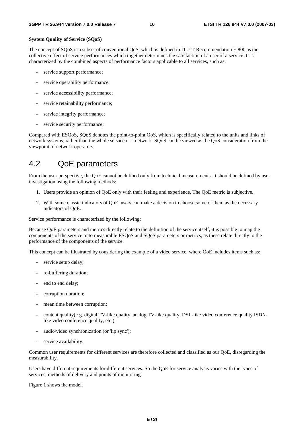#### **System Quality of Service (SQoS)**

The concept of SQoS is a subset of conventional QoS, which is defined in ITU-T Recommendation E.800 as the collective effect of service performances which together determines the satisfaction of a user of a service. It is characterized by the combined aspects of performance factors applicable to all services, such as:

- service support performance;
- service operability performance;
- service accessibility performance;
- service retainability performance;
- service integrity performance;
- service security performance;

Compared with ESQoS, SQoS denotes the point-to-point QoS, which is specifically related to the units and links of network systems, rather than the whole service or a network. SQoS can be viewed as the QoS consideration from the viewpoint of network operators.

## 4.2 QoE parameters

From the user perspective, the QoE cannot be defined only from technical measurements. It should be defined by user investigation using the following methods:

- 1. Users provide an opinion of QoE only with their feeling and experience. The QoE metric is subjective.
- 2. With some classic indicators of QoE, users can make a decision to choose some of them as the necessary indicators of QoE.

Service performance is characterized by the following:

Because QoE parameters and metrics directly relate to the definition of the service itself, it is possible to map the components of the service onto measurable ESQoS and SQoS parameters or metrics, as these relate directly to the performance of the components of the service.

This concept can be illustrated by considering the example of a video service, where QoE includes items such as:

- service setup delay;
- re-buffering duration:
- end to end delay;
- corruption duration;
- mean time between corruption;
- content quality(e.g. digital TV-like quality, analog TV-like quality, DSL-like video conference quality ISDNlike video conference quality, etc.);
- audio/video synchronization (or 'lip sync');
- service availability.

Common user requirements for different services are therefore collected and classified as our QoE, disregarding the measurability.

Users have different requirements for different services. So the QoE for service analysis varies with the types of services, methods of delivery and points of monitoring.

Figure 1 shows the model.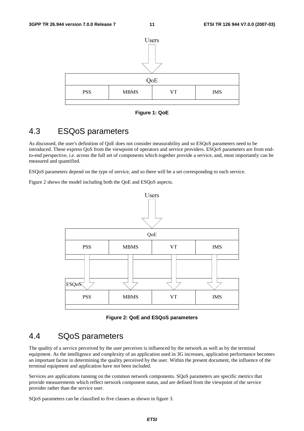

**Figure 1: QoE** 

## 4.3 ESQoS parameters

As discussed, the user's definition of QoE does not consider measurability and so ESQoS parameters need to be introduced. These express QoS from the viewpoint of operators and service providers. ESQoS parameters are from endto-end perspective, i.e. across the full set of components which together provide a service, and, most importantly can be measured and quantified.

ESQoS parameters depend on the type of service, and so there will be a set corresponding to each service.

Figure 2 shows the model including both the QoE and ESQoS aspects.



**Figure 2: QoE and ESQoS parameters** 

## 4.4 SQoS parameters

The quality of a service perceived by the user perceives is influenced by the network as well as by the terminal equipment. As the intelligence and complexity of an application used in 3G increases, application performance becomes an important factor in determining the quality perceived by the user. Within the present document, the influence of the terminal equipment and application have not been included.

Services are applications running on the common network components. SQoS parameters are specific metrics that provide measurements which reflect network component status, and are defined from the viewpoint of the service provider rather than the service user.

SQoS parameters can be classified to five classes as shown in figure 3.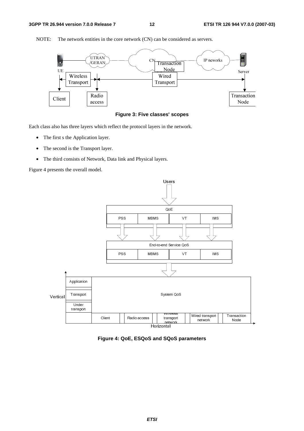

NOTE: The network entities in the core network (CN) can be considered as servers.



Each class also has three layers which reflect the protocol layers in the network.

- The first s the Application layer.
- The second is the Transport layer.
- The third consists of Network, Data link and Physical layers.

Figure 4 presents the overall model.



**Figure 4: QoE, ESQoS and SQoS parameters**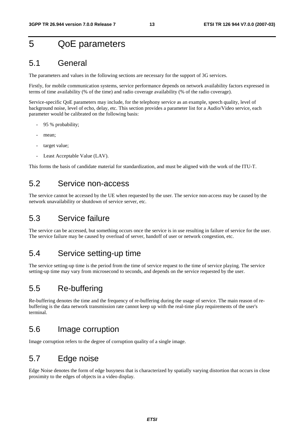# 5 QoE parameters

## 5.1 General

The parameters and values in the following sections are necessary for the support of 3G services.

Firstly, for mobile communication systems, service performance depends on network availability factors expressed in terms of time availability (% of the time) and radio coverage availability (% of the radio coverage).

Service-specific QoE parameters may include, for the telephony service as an example, speech quality, level of background noise, level of echo, delay, etc. This section provides a parameter list for a Audio/Video service, each parameter would be calibrated on the following basis:

- 95 % probability;
- mean;
- target value:
- Least Acceptable Value (LAV).

This forms the basis of candidate material for standardization, and must be aligned with the work of the ITU-T.

## 5.2 Service non-access

The service cannot be accessed by the UE when requested by the user. The service non-access may be caused by the network unavailability or shutdown of service server, etc.

## 5.3 Service failure

The service can be accessed, but something occurs once the service is in use resulting in failure of service for the user. The service failure may be caused by overload of server, handoff of user or network congestion, etc.

## 5.4 Service setting-up time

The service setting-up time is the period from the time of service request to the time of service playing. The service setting-up time may vary from microsecond to seconds, and depends on the service requested by the user.

## 5.5 Re-buffering

Re-buffering denotes the time and the frequency of re-buffering during the usage of service. The main reason of rebuffering is the data network transmission rate cannot keep up with the real-time play requirements of the user's terminal.

## 5.6 Image corruption

Image corruption refers to the degree of corruption quality of a single image.

# 5.7 Edge noise

Edge Noise denotes the form of edge busyness that is characterized by spatially varying distortion that occurs in close proximity to the edges of objects in a video display.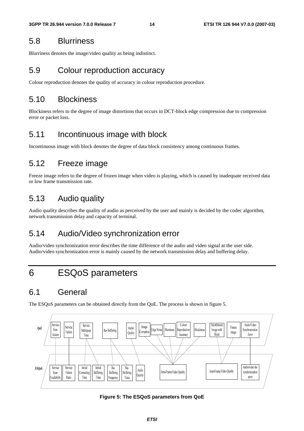## 5.8 Blurriness

Blurriness denotes the image/video quality as being indistinct.

## 5.9 Colour reproduction accuracy

Colour reproduction denotes the quality of accuracy in colour reproduction procedure.

## 5.10 Blockiness

Blockiness refers to the degree of image distortions that occurs in DCT-block edge compression due to compression error or packet loss.

## 5.11 Incontinuous image with block

Incontinuous image with block denotes the degree of data block consistency among continuous frames.

## 5.12 Freeze image

Freeze image refers to the degree of frozen image when video is playing, which is caused by inadequate received data or low frame transmission rate.

## 5.13 Audio quality

Audio quality describes the quality of audio as perceived by the user and mainly is decided by the codec algorithm, network transmission delay and capacity of terminal.

## 5.14 Audio/Video synchronization error

Audio/video synchronization error describes the time difference of the audio and video signal at the user side. Audio/video synchronization error is mainly caused by the network transmission delay and buffering delay.

# 6 ESQoS parameters

## 6.1 General

The ESQoS parameters can be obtained directly from the QoE. The process is shown in figure 5.



**Figure 5: The ESQoS parameters from QoE**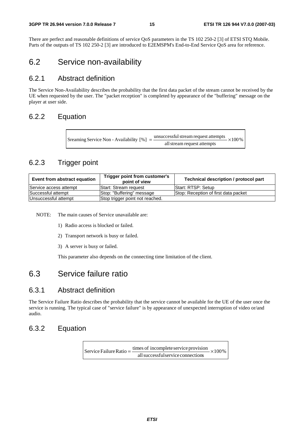There are perfect and reasonable definitions of service QoS parameters in the TS 102 250-2 [3] of ETSI STQ Mobile. Parts of the outputs of TS 102 250-2 [3] are introduced to E2EMSPM's End-to-End Service QoS area for reference.

## 6.2 Service non-availability

### 6.2.1 Abstract definition

The Service Non-Availability describes the probability that the first data packet of the stream cannot be received by the UE when requested by the user. The "packet reception" is completed by appearance of the "buffering" message on the player at user side.

## 6.2.2 Equation

 $\times 100\%$ allstream request attempts Sreaming Service Non - Availability  $[\%] = \frac{\text{unsuccessful stream request attempts}}{\text{...}}$ 

## 6.2.3 Trigger point

| Event from abstract equation                            | Trigger point from customer's<br>point of view | Technical description / protocol part |
|---------------------------------------------------------|------------------------------------------------|---------------------------------------|
| Service access attempt                                  | <b>IStart: Stream request</b>                  | <b>IStart: RTSP: Setup</b>            |
| Successful attempt                                      | Stop: "Buffering" message                      | Stop: Reception of first data packet  |
| Unsuccessful attempt<br>Stop trigger point not reached. |                                                |                                       |

NOTE: The main causes of Service unavailable are:

- 1) Radio access is blocked or failed.
- 2) Transport network is busy or failed.
- 3) A server is busy or failed.

This parameter also depends on the connecting time limitation of the client.

## 6.3 Service failure ratio

### 6.3.1 Abstract definition

The Service Failure Ratio describes the probability that the service cannot be available for the UE of the user once the service is running. The typical case of "service failure" is by appearance of unexpected interruption of video or/and audio.

## 6.3.2 Equation

 $\times100\%$ allsuccessfulservice connections Service Failure Ratio  $=$   $\frac{\text{times of incomplete service provision}}{}$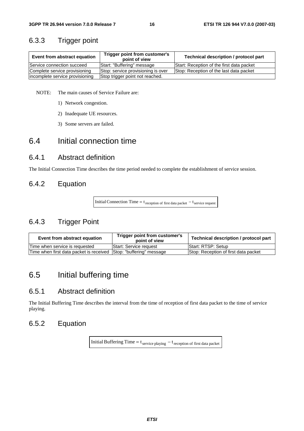### 6.3.3 Trigger point

| Event from abstract equation    | Trigger point from customer's<br>point of view | Technical description / protocol part     |
|---------------------------------|------------------------------------------------|-------------------------------------------|
| Service connection succeed      | Start: "Buffering" message                     | Start: Reception of the first data packet |
| Complete service provisioning   | Stop: service provisioning is over             | Stop: Reception of the last data packet   |
| incomplete service provisioning | Stop trigger point not reached.                |                                           |

NOTE: The main causes of Service Failure are:

- 1) Network congestion.
- 2) Inadequate UE resources.
- 3) Some servers are failed.

## 6.4 Initial connection time

### 6.4.1 Abstract definition

The Initial Connection Time describes the time period needed to complete the establishment of service session.

## 6.4.2 Equation

Initial Connection Time =  $t_{\text{reception of first data packet}} - t_{\text{service request}}$ 

## 6.4.3 Trigger Point

| Event from abstract equation                                       | Trigger point from customer's<br>point of view | Technical description / protocol part |
|--------------------------------------------------------------------|------------------------------------------------|---------------------------------------|
| lTime when service is reauested                                    | Start: Service request                         | Start: RTSP: Setup                    |
| Time when first data packet is received Sttop: "buffering" message |                                                | Stop: Reception of first data packet  |

# 6.5 Initial buffering time

### 6.5.1 Abstract definition

The Initial Buffering Time describes the interval from the time of reception of first data packet to the time of service playing.

## 6.5.2 Equation

Initial Buffering Time =  $t_{\text{service playing}} - t_{\text{reception of first data packet}}$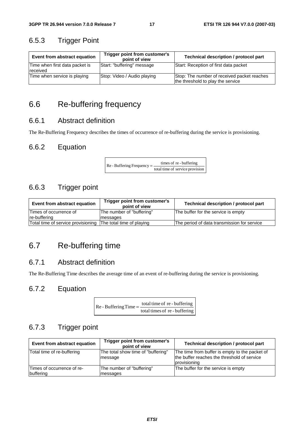## 6.5.3 Trigger Point

| Event from abstract equation                      | Trigger point from customer's<br>point of view | Technical description / protocol part                                            |
|---------------------------------------------------|------------------------------------------------|----------------------------------------------------------------------------------|
| Time when first data packet is<br><b>received</b> | Start: "buffering" message                     | Start: Reception of first data packet                                            |
| Time when service is playing                      | Stop: Video / Audio playing                    | Stop: The number of received packet reaches<br>the threshold to play the service |

## 6.6 Re-buffering frequency

## 6.6.1 Abstract definition

The Re-Buffering Frequency describes the times of occurrence of re-buffering during the service is provisioning.

## 6.6.2 Equation

 $\text{Re}$  - Buffering Frequency =  $\frac{\text{times of re} \cdot \text{buffering}}{\text{total time of service provision}}$ 

## 6.6.3 Trigger point

| Event from abstract equation       | Trigger point from customer's<br>point of view | Technical description / protocol part       |
|------------------------------------|------------------------------------------------|---------------------------------------------|
| Times of occurrence of             | The number of "buffering"                      | The buffer for the service is empty         |
| Ire-bufferina                      | messages                                       |                                             |
| Total time of service provisioning | The total time of playing                      | The period of data transmission for service |

# 6.7 Re-buffering time

## 6.7.1 Abstract definition

The Re-Buffering Time describes the average time of an event of re-buffering during the service is provisioning.

## 6.7.2 Equation

| $Re$ - Buffering Time = $\frac{10}{10}$ | total time of re-buffering    |
|-----------------------------------------|-------------------------------|
|                                         | total times of re - buffering |

## 6.7.3 Trigger point

| Event from abstract equation            | Trigger point from customer's<br>point of view | Technical description / protocol part                                                                         |
|-----------------------------------------|------------------------------------------------|---------------------------------------------------------------------------------------------------------------|
| Total time of re-buffering              | The total show time of "buffering"<br>message  | The time from buffer is empty to the packet of<br>the buffer reaches the threshold of service<br>provisioning |
| Times of occurrence of re-<br>buffering | The number of "buffering"<br>messages          | The buffer for the service is empty                                                                           |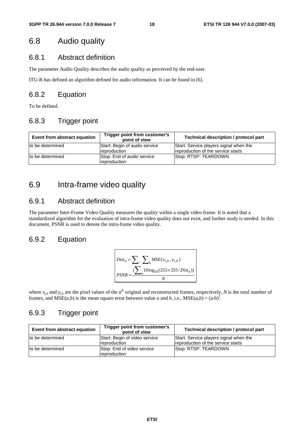## 6.8 Audio quality

## 6.8.1 Abstract definition

The parameter Audio Quality describes the audio quality as perceived by the end-user.

ITU-R has defined an algorithm defined for audio information. It can be found in [6].

## 6.8.2 Equation

To be defined.

## 6.8.3 Trigger point

| Event from abstract equation | Trigger point from customer's<br>point of view | Technical description / protocol part                                        |  |  |  |
|------------------------------|------------------------------------------------|------------------------------------------------------------------------------|--|--|--|
| to be determined             | Start: Begin of audio service<br>reproduction  | Start: Service players signal when the<br>reproduction of the service starts |  |  |  |
| to be determined             | Stop: End of audio service<br>reproduction     | Stop: RTSP: TEARDOWN                                                         |  |  |  |

## 6.9 Intra-frame video quality

## 6.9.1 Abstract definition

The parameter Inter-Frame Video Quality measures the quality within a single video frame. It is noted that a standardized algorithm for the evaluation of intra-frame video quality does not exist, and further study is needed. In this document, PSNR is used to denote the intra-frame video quality.

## 6.9.2 Equation

$$
Dist_n = \sum_{i} \sum_{k} MSE(x_{i,k}, y_{i,k})
$$
  
PSNR = 
$$
\frac{\sum_{i} 10 \log_{10}(255 \times 255/Dist_n))}{N}
$$

where  $x_{jk}$  and  $y_{jk}$  are the pixel values of the n<sup>th</sup> original and reconstructed frames, respectively, *N* is the total number of frames, and  $MSE(a,b)$  is the mean square error between value *a* and *b*, i.e.,  $MSE(a,b) = (a-b)^2$ .

## 6.9.3 Trigger point

| Event from abstract equation | Trigger point from customer's<br>point of view | Technical description / protocol part                                        |  |  |  |
|------------------------------|------------------------------------------------|------------------------------------------------------------------------------|--|--|--|
| to be determined             | Start: Begin of video service<br>reproduction  | Start: Service players signal when the<br>reproduction of the service starts |  |  |  |
| to be determined             | Stop: End of video service<br>reproduction     | Stop: RTSP: TEARDOWN                                                         |  |  |  |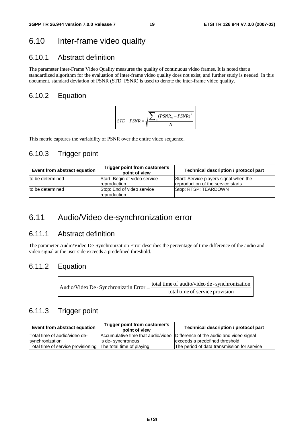## 6.10 Inter-frame video quality

## 6.10.1 Abstract definition

The parameter Inter-Frame Video Quality measures the quality of continuous video frames. It is noted that a standardized algorithm for the evaluation of inter-frame video quality does not exist, and further study is needed. In this document, standard deviation of PSNR (STD\_PSNR) is used to denote the inter-frame video quality.

## 6.10.2 Equation



This metric captures the variability of PSNR over the entire video sequence.

## 6.10.3 Trigger point

| Event from abstract equation | Trigger point from customer's<br>point of view       | Technical description / protocol part                                        |  |  |  |
|------------------------------|------------------------------------------------------|------------------------------------------------------------------------------|--|--|--|
| to be determined             | Start: Begin of video service<br><b>reproduction</b> | Start: Service players signal when the<br>reproduction of the service starts |  |  |  |
| to be determined             | Stop: End of video service<br><i>reproduction</i>    | Stop: RTSP: TEARDOWN                                                         |  |  |  |

## 6.11 Audio/Video de-synchronization error

## 6.11.1 Abstract definition

The parameter Audio/Video De-Synchronization Error describes the percentage of time difference of the audio and video signal at the user side exceeds a predefined threshold.

### 6.11.2 Equation

| Audio/Video De - Synchronizatin Error = $-\frac{1}{2}$ | total time of audio/video de - synchronization |
|--------------------------------------------------------|------------------------------------------------|
|                                                        | total time of service provision                |

## 6.11.3 Trigger point

| Event from abstract equation                                 | Trigger point from customer's<br>point of view | Technical description / protocol part                                       |  |  |  |
|--------------------------------------------------------------|------------------------------------------------|-----------------------------------------------------------------------------|--|--|--|
| Total time of audio/video de-                                |                                                | Accumulative time that audio/video Difference of the audio and video signal |  |  |  |
| synchronization                                              | lis de- svnchronous                            | lexceeds a predefined threshold                                             |  |  |  |
| Total time of service provisioning The total time of playing |                                                | The period of data transmission for service                                 |  |  |  |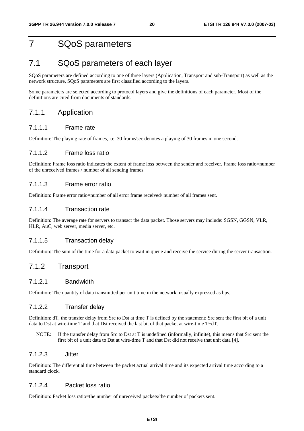# 7 SQoS parameters

# 7.1 SQoS parameters of each layer

SQoS parameters are defined according to one of three layers (Application, Transport and sub-Transport) as well as the network structure, SQoS parameters are first classified according to the layers.

Some parameters are selected according to protocol layers and give the definitions of each parameter. Most of the definitions are cited from documents of standards.

## 7.1.1 Application

#### 7.1.1.1 Frame rate

Definition: The playing rate of frames, i.e. 30 frame/sec denotes a playing of 30 frames in one second.

#### 7.1.1.2 Frame loss ratio

Definition: Frame loss ratio indicates the extent of frame loss between the sender and receiver. Frame loss ratio=number of the unreceived frames / number of all sending frames.

#### 7.1.1.3 Frame error ratio

Definition: Frame error ratio=number of all error frame received/ number of all frames sent.

#### 7.1.1.4 Transaction rate

Definition: The average rate for servers to transact the data packet. Those servers may include: SGSN, GGSN, VLR, HLR, AuC, web server, media server, etc.

#### 7.1.1.5 Transaction delay

Definition: The sum of the time for a data packet to wait in queue and receive the service during the server transaction.

### 7.1.2 Transport

#### 7.1.2.1 Bandwidth

Definition: The quantity of data transmitted per unit time in the network, usually expressed as bps.

#### 7.1.2.2 Transfer delay

Definition: dT, the transfer delay from Src to Dst at time T is defined by the statement: Src sent the first bit of a unit data to Dst at wire-time T and that Dst received the last bit of that packet at wire-time T+dT.

NOTE: If the transfer delay from Src to Dst at T is undefined (informally, infinite), this means that Src sent the first bit of a unit data to Dst at wire-time T and that Dst did not receive that unit data [4].

#### 7.1.2.3 Jitter

Definition: The differential time between the packet actual arrival time and its expected arrival time according to a standard clock.

#### 7.1.2.4 Packet loss ratio

Definition: Packet loss ratio=the number of unreceived packets/the number of packets sent.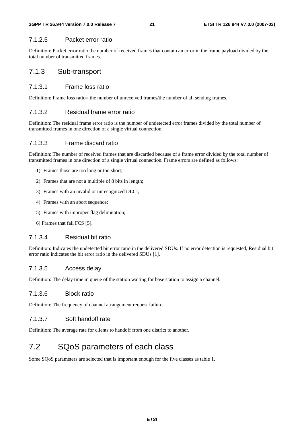#### 7.1.2.5 Packet error ratio

Definition: Packet error ratio the number of received frames that contain an error in the frame payload divided by the total number of transmitted frames.

### 7.1.3 Sub-transport

#### 7.1.3.1 Frame loss ratio

Definition: Frame loss ratio= the number of unreceived frames/the number of all sending frames.

#### 7.1.3.2 Residual frame error ratio

Definition: The residual frame error ratio is the number of undetected error frames divided by the total number of transmitted frames in one direction of a single virtual connection.

#### 7.1.3.3 Frame discard ratio

Definition: The number of received frames that are discarded because of a frame error divided by the total number of transmitted frames in one direction of a single virtual connection. Frame errors are defined as follows:

- 1) Frames those are too long or too short;
- 2) Frames that are not a multiple of 8 bits in length;
- 3) Frames with an invalid or unrecognized DLCI;
- 4) Frames with an abort sequence;
- 5) Frames with improper flag delimitation;
- 6) Frames that fail FCS [5].

#### 7.1.3.4 Residual bit ratio

Definition: Indicates the undetected bit error ratio in the delivered SDUs. If no error detection is requested, Residual bit error ratio indicates the bit error ratio in the delivered SDUs [1].

#### 7.1.3.5 Access delay

Definition: The delay time in queue of the station waiting for base station to assign a channel.

#### 7.1.3.6 Block ratio

Definition: The frequency of channel arrangement request failure.

#### 7.1.3.7 Soft handoff rate

Definition: The average rate for clients to handoff from one district to another.

## 7.2 SQoS parameters of each class

Some SQoS parameters are selected that is important enough for the five classes as table 1.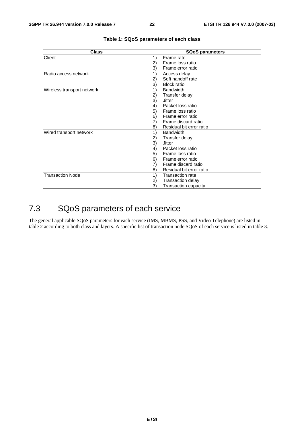| <b>Class</b>               | <b>SQoS parameters</b>                   |  |  |  |
|----------------------------|------------------------------------------|--|--|--|
| Client                     | Frame rate<br>1)                         |  |  |  |
|                            | Frame loss ratio<br>2)                   |  |  |  |
|                            | 3)<br>Frame error ratio                  |  |  |  |
| Radio access network       | 1)<br>Access delay                       |  |  |  |
|                            | Soft handoff rate<br>2)                  |  |  |  |
|                            | <b>Block ratio</b><br>3)                 |  |  |  |
| Wireless transport network | 1)<br><b>Bandwidth</b>                   |  |  |  |
|                            | 2)<br>Transfer delay                     |  |  |  |
|                            | 3)<br>Jitter                             |  |  |  |
|                            | Packet loss ratio<br>$\vert 4)$          |  |  |  |
|                            | 5)<br>Frame loss ratio                   |  |  |  |
|                            | 6)<br>Frame error ratio                  |  |  |  |
|                            | $\left( 7\right)$<br>Frame discard ratio |  |  |  |
|                            | Residual bit error ratio<br>8)           |  |  |  |
| Wired transport network    | 1)<br><b>Bandwidth</b>                   |  |  |  |
|                            | Transfer delay<br>2)                     |  |  |  |
|                            | 3)<br>Jitter                             |  |  |  |
|                            | $\left( 4\right)$<br>Packet loss ratio   |  |  |  |
|                            | 5)<br>Frame loss ratio                   |  |  |  |
|                            | 6)<br>Frame error ratio                  |  |  |  |
|                            | Frame discard ratio<br>7)                |  |  |  |
|                            | Residual bit error ratio<br>8)           |  |  |  |
| <b>Transaction Node</b>    | 1)<br><b>Transaction rate</b>            |  |  |  |
|                            | Transaction delay<br>2)                  |  |  |  |
|                            | 3)<br><b>Transaction capacity</b>        |  |  |  |

#### **Table 1: SQoS parameters of each class**

# 7.3 SQoS parameters of each service

The general applicable SQoS parameters for each service (IMS, MBMS, PSS, and Video Telephone) are listed in table 2 according to both class and layers. A specific list of transaction node SQoS of each service is listed in table 3.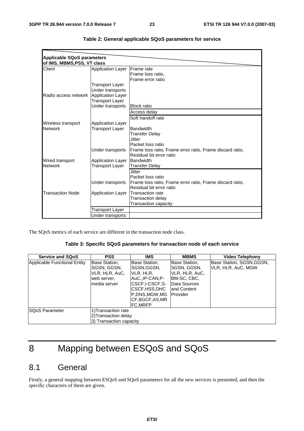| <b>Applicable SQoS parameters</b> |                          |                                                           |
|-----------------------------------|--------------------------|-----------------------------------------------------------|
| of IMS, MBMS, PSS, VT class       |                          |                                                           |
| Client                            | <b>Application Layer</b> | <b>IFrame</b> rate                                        |
|                                   |                          | Frame loss ratio,                                         |
|                                   |                          | Frame error ratio                                         |
|                                   | Transport Layer          |                                                           |
|                                   | Under transports         |                                                           |
| Radio access network              | Application Layer        |                                                           |
|                                   | <b>Transport Layer</b>   |                                                           |
|                                   | Under transports         | <b>Block ratio</b>                                        |
|                                   |                          | Access delay                                              |
|                                   |                          | Soft handoff rate                                         |
| Wireless transport                | <b>Application Layer</b> |                                                           |
| <b>Network</b>                    | Transport Laver          | <b>Bandwidth</b>                                          |
|                                   |                          | Transfer Delay                                            |
|                                   |                          | Jitter                                                    |
|                                   |                          | Packet loss ratio                                         |
|                                   | Under transports         | Frame loss ratio, Frame error ratio, Frame discard ratio, |
|                                   |                          | Residual bit error ratio                                  |
| Wired transport                   | <b>Application Layer</b> | <b>Bandwidth</b>                                          |
| <b>Network</b>                    | Transport Layer          | <b>Transfer Delay</b>                                     |
|                                   |                          | Jitter                                                    |
|                                   |                          | Packet loss ratio                                         |
|                                   | Under transports         | Frame loss ratio, Frame error ratio, Frame discard ratio, |
|                                   |                          | Residual bit error ratio                                  |
| <b>Transaction Node</b>           | <b>Application Layer</b> | <b>Transaction rate</b>                                   |
|                                   |                          | Transaction delay                                         |
|                                   |                          | Transaction capacity                                      |
|                                   | Transport Layer          |                                                           |
|                                   | Under transports         |                                                           |

|  |  | Table 2: General applicable SQoS parameters for service |  |
|--|--|---------------------------------------------------------|--|
|--|--|---------------------------------------------------------|--|

The SQoS metrics of each service are different in the transaction node class.

#### **Table 3: Specific SQoS parameters for transaction node of each service**

| <b>Service and SQoS</b>      | <b>PSS</b>                                                                     | <b>IMS</b>                                                                                                                                         | <b>MBMS</b>                                                                                                         | Video Telephony                                 |  |  |  |  |
|------------------------------|--------------------------------------------------------------------------------|----------------------------------------------------------------------------------------------------------------------------------------------------|---------------------------------------------------------------------------------------------------------------------|-------------------------------------------------|--|--|--|--|
| Applicable Functional Entity | Base Station,<br>SGSN, GGSN,<br>VLR, HLR, AuC,<br>web server,<br>Imedia server | Base Station,<br>ISGSN.GGSN.<br>VLR, HLR,<br>IAuCIP-CAN.P-<br>ICSCF.I-CSCF.S-<br>ICSCF,HSS,DHC<br>P.DNS.MGW.MG<br>ICF.BGCF.AS.MR<br><b>FC.MRFP</b> | Base Station,<br>ISGSN, GGSN,<br>VLR, HLR, AuC,<br>IBM-SC, CBC,<br>Data Sources<br>land Content<br><b>IProvider</b> | Base Station, SGSN, GGSN,<br>VLR, HLR, AuC, MGW |  |  |  |  |
| ISQoS Parameter              | 1) Transaction rate<br>2) Transaction delay<br>3) Transaction capacity         |                                                                                                                                                    |                                                                                                                     |                                                 |  |  |  |  |

# 8 Mapping between ESQoS and SQoS

# 8.1 General

Firstly, a general mapping between ESQoS and SQoS parameters for all the new services is presented, and then the specific characters of them are given.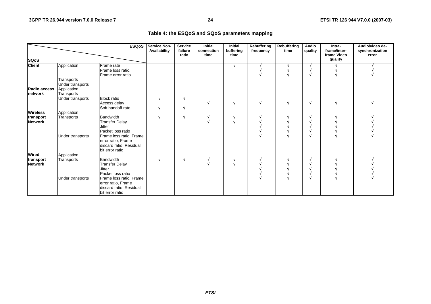#### **Table 4: the ESQoS and SQoS parameters mapping**

|                                 |                                                             | <b>ESQoS</b>                                                                                                                     | <b>Service Non-</b><br>Availability | <b>Service</b><br>failure<br>ratio | <b>Initial</b><br>connection<br>time | <b>Initial</b><br>buffering<br>time | <b>Rebuffering</b><br>frequency | Rebuffering<br>time | <b>Audio</b><br>quality | Intra-<br>frame/inter-<br>frame Video | Audio/video de-<br>synchronization<br>error |
|---------------------------------|-------------------------------------------------------------|----------------------------------------------------------------------------------------------------------------------------------|-------------------------------------|------------------------------------|--------------------------------------|-------------------------------------|---------------------------------|---------------------|-------------------------|---------------------------------------|---------------------------------------------|
| <b>SQoS</b>                     |                                                             |                                                                                                                                  |                                     |                                    |                                      |                                     |                                 |                     |                         | quality                               |                                             |
| <b>Client</b>                   | Application                                                 | Frame rate<br>Frame loss ratio,<br>Frame error ratio                                                                             |                                     |                                    |                                      | N                                   |                                 |                     |                         |                                       |                                             |
| Radio access<br><b>Inetwork</b> | Transports<br>Under transports<br>Application<br>Transports |                                                                                                                                  |                                     |                                    |                                      |                                     |                                 |                     |                         |                                       |                                             |
|                                 | Under transports                                            | <b>Block ratio</b><br>Access delay<br>Soft handoff rate                                                                          |                                     |                                    |                                      |                                     | N                               |                     | N                       |                                       |                                             |
| <b>Wireless</b>                 | Application                                                 |                                                                                                                                  |                                     |                                    |                                      |                                     |                                 |                     |                         |                                       |                                             |
| transport<br><b>Network</b>     | Transports                                                  | Bandwidth<br><b>Transfer Delay</b><br><b>Jitter</b><br>Packet loss ratio                                                         |                                     |                                    |                                      |                                     |                                 |                     |                         |                                       |                                             |
|                                 | Under transports                                            | Frame loss ratio, Frame<br>error ratio, Frame<br>discard ratio, Residual<br>bit error ratio                                      |                                     |                                    |                                      |                                     |                                 |                     |                         |                                       |                                             |
| Wired                           | Application                                                 |                                                                                                                                  |                                     |                                    |                                      |                                     |                                 |                     |                         |                                       |                                             |
| transport<br><b>Network</b>     | Transports<br>Under transports                              | <b>Bandwidth</b><br><b>Transfer Delay</b><br><b>Jitter</b><br>Packet loss ratio<br>Frame loss ratio, Frame<br>error ratio, Frame |                                     | N                                  |                                      | $\sim$                              |                                 |                     |                         |                                       |                                             |
|                                 |                                                             | discard ratio, Residual<br>bit error ratio                                                                                       |                                     |                                    |                                      |                                     |                                 |                     |                         |                                       |                                             |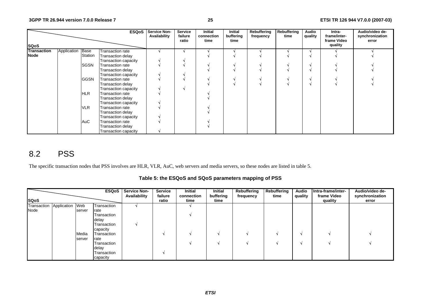|                    |                  |                | <b>ESQoS</b>            | Service Non-<br>Availability | <b>Service</b><br>failure<br>ratio | <b>Initial</b><br>connection<br>time | Initial<br>buffering<br>time | Rebuffering<br>frequency | Rebuffering<br>time | Audio<br>quality | Intra-<br>frame/inter-<br>frame Video | Audio/video de-<br>synchronization<br>error |
|--------------------|------------------|----------------|-------------------------|------------------------------|------------------------------------|--------------------------------------|------------------------------|--------------------------|---------------------|------------------|---------------------------------------|---------------------------------------------|
| <b>SQoS</b>        |                  |                |                         |                              |                                    |                                      |                              |                          |                     |                  | quality                               |                                             |
| <b>Transaction</b> | Application Base |                | Transaction rate        |                              |                                    |                                      |                              |                          |                     |                  |                                       |                                             |
| <b>Node</b>        |                  | <b>Station</b> | Transaction delay       |                              |                                    |                                      |                              |                          |                     |                  |                                       |                                             |
|                    |                  |                | Transaction capacity    |                              |                                    |                                      |                              |                          |                     |                  |                                       |                                             |
|                    |                  | SGSN           | <b>Transaction rate</b> |                              |                                    |                                      |                              |                          |                     |                  |                                       |                                             |
|                    |                  |                | Transaction delay       |                              |                                    |                                      |                              |                          |                     |                  |                                       |                                             |
|                    |                  |                | Transaction capacity    |                              |                                    |                                      |                              |                          |                     |                  |                                       |                                             |
|                    |                  | <b>GGSN</b>    | <b>Transaction rate</b> |                              |                                    |                                      |                              |                          |                     |                  |                                       |                                             |
|                    |                  |                | Transaction delay       |                              |                                    |                                      |                              |                          |                     |                  |                                       |                                             |
|                    |                  |                | Transaction capacity    |                              |                                    |                                      |                              |                          |                     |                  |                                       |                                             |
|                    |                  | <b>HLR</b>     | <b>Transaction rate</b> |                              |                                    |                                      |                              |                          |                     |                  |                                       |                                             |
|                    |                  |                | Transaction delay       |                              |                                    |                                      |                              |                          |                     |                  |                                       |                                             |
|                    |                  |                | Transaction capacity    |                              |                                    |                                      |                              |                          |                     |                  |                                       |                                             |
|                    |                  | <b>VLR</b>     | Transaction rate        |                              |                                    |                                      |                              |                          |                     |                  |                                       |                                             |
|                    |                  |                | Transaction delay       |                              |                                    |                                      |                              |                          |                     |                  |                                       |                                             |
|                    |                  |                | Transaction capacity    |                              |                                    |                                      |                              |                          |                     |                  |                                       |                                             |
|                    |                  | AuC            | <b>Transaction rate</b> |                              |                                    |                                      |                              |                          |                     |                  |                                       |                                             |
|                    |                  |                | Transaction delay       |                              |                                    |                                      |                              |                          |                     |                  |                                       |                                             |
|                    |                  |                | Transaction capacity    |                              |                                    |                                      |                              |                          |                     |                  |                                       |                                             |

# 8.2 PSS

The specific transaction nodes that PSS involves are HLR, VLR, AuC, web servers and media servers, so these nodes are listed in table 5.

**Table 5: the ESQoS and SQoS parameters mapping of PSS** 

|                             |        |             | <b>ESQoS</b>   Service Non-<br>Availability | <b>Service</b><br>failure | Initial<br>connection | Initial<br>buffering | Rebuffering<br>frequency | Rebuffering<br>time | Audio<br>quality | Intra-frame/inter-<br>frame Video | Audio/video de-<br>synchronization |
|-----------------------------|--------|-------------|---------------------------------------------|---------------------------|-----------------------|----------------------|--------------------------|---------------------|------------------|-----------------------------------|------------------------------------|
| <b>SQoS</b>                 |        |             |                                             | ratio                     | time                  | time                 |                          |                     |                  | quality                           | error                              |
| Transaction Application Web |        | Transaction |                                             |                           |                       |                      |                          |                     |                  |                                   |                                    |
| Node                        | server | rate        |                                             |                           |                       |                      |                          |                     |                  |                                   |                                    |
|                             |        | Transaction |                                             |                           |                       |                      |                          |                     |                  |                                   |                                    |
|                             |        | delay       |                                             |                           |                       |                      |                          |                     |                  |                                   |                                    |
|                             |        | Transaction |                                             |                           |                       |                      |                          |                     |                  |                                   |                                    |
|                             |        | capacity    |                                             |                           |                       |                      |                          |                     |                  |                                   |                                    |
|                             | Media  | Transaction |                                             |                           |                       |                      |                          |                     |                  |                                   |                                    |
|                             | server | rate        |                                             |                           |                       |                      |                          |                     |                  |                                   |                                    |
|                             |        | Transaction |                                             |                           |                       |                      |                          |                     |                  |                                   |                                    |
|                             |        | delay       |                                             |                           |                       |                      |                          |                     |                  |                                   |                                    |
|                             |        | Transaction |                                             |                           |                       |                      |                          |                     |                  |                                   |                                    |
|                             |        | capacity    |                                             |                           |                       |                      |                          |                     |                  |                                   |                                    |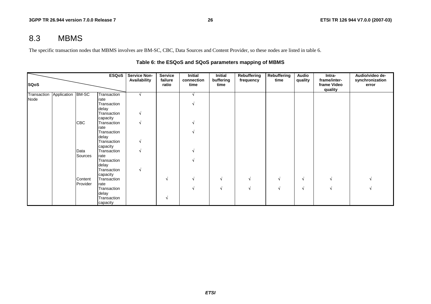## 8.3 MBMS

The specific transaction nodes that MBMS involves are BM-SC, CBC, Data Sources and Content Provider, so these nodes are listed in table 6.

|                     |                   |            | <b>ESQoS</b>        | <b>Service Non-</b><br>Availability | <b>Service</b><br>failure | Initial<br>connection | Initial<br>buffering | Rebuffering<br>frequency | <b>Rebuffering</b><br>time | Audio<br>quality | Intra-<br>frame/inter- | Audio/video de-<br>synchronization |
|---------------------|-------------------|------------|---------------------|-------------------------------------|---------------------------|-----------------------|----------------------|--------------------------|----------------------------|------------------|------------------------|------------------------------------|
| <b>SQoS</b>         |                   |            |                     |                                     | ratio                     | time                  | time                 |                          |                            |                  | frame Video<br>quality | error                              |
| Transaction<br>Node | Application BM-SC |            | Transaction<br>rate |                                     |                           |                       |                      |                          |                            |                  |                        |                                    |
|                     |                   |            | Transaction         |                                     |                           |                       |                      |                          |                            |                  |                        |                                    |
|                     |                   |            | delay               |                                     |                           |                       |                      |                          |                            |                  |                        |                                    |
|                     |                   |            | Transaction         |                                     |                           |                       |                      |                          |                            |                  |                        |                                    |
|                     |                   |            | capacity            |                                     |                           |                       |                      |                          |                            |                  |                        |                                    |
|                     |                   | <b>CBC</b> | Transaction         |                                     |                           |                       |                      |                          |                            |                  |                        |                                    |
|                     |                   |            | rate                |                                     |                           |                       |                      |                          |                            |                  |                        |                                    |
|                     |                   |            | Transaction         |                                     |                           |                       |                      |                          |                            |                  |                        |                                    |
|                     |                   |            | delay               |                                     |                           |                       |                      |                          |                            |                  |                        |                                    |
|                     |                   |            | Transaction         |                                     |                           |                       |                      |                          |                            |                  |                        |                                    |
|                     |                   |            | capacity            |                                     |                           |                       |                      |                          |                            |                  |                        |                                    |
|                     |                   | Data       | Transaction         |                                     |                           |                       |                      |                          |                            |                  |                        |                                    |
|                     |                   | Sources    | rate                |                                     |                           |                       |                      |                          |                            |                  |                        |                                    |
|                     |                   |            | Transaction         |                                     |                           |                       |                      |                          |                            |                  |                        |                                    |
|                     |                   |            | delay               |                                     |                           |                       |                      |                          |                            |                  |                        |                                    |
|                     |                   |            | Transaction         |                                     |                           |                       |                      |                          |                            |                  |                        |                                    |
|                     |                   |            | capacity            |                                     |                           |                       |                      |                          |                            |                  |                        |                                    |
|                     |                   | Content    | Transaction         |                                     | N                         |                       | N                    |                          | N                          | N                |                        |                                    |
|                     |                   | Provider   | rate                |                                     |                           |                       |                      |                          |                            |                  |                        |                                    |
|                     |                   |            | Transaction         |                                     |                           |                       | N                    |                          | N                          | N                |                        |                                    |
|                     |                   |            | delay               |                                     |                           |                       |                      |                          |                            |                  |                        |                                    |
|                     |                   |            | Transaction         |                                     | N                         |                       |                      |                          |                            |                  |                        |                                    |
|                     |                   |            | capacity            |                                     |                           |                       |                      |                          |                            |                  |                        |                                    |

#### **Table 6: the ESQoS and SQoS parameters mapping of MBMS**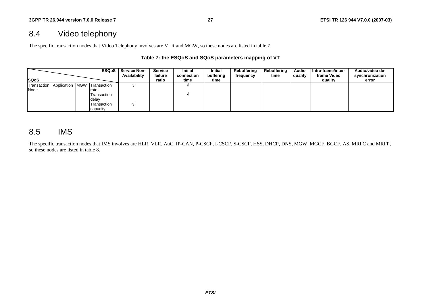# 8.4 Video telephony

The specific transaction nodes that Video Telephony involves are VLR and MGW, so these nodes are listed in table 7.

#### **Table 7: the ESQoS and SQoS parameters mapping of VT**

|              |             | <b>ESQoS</b>    | <b>Service Non-</b><br>Availability | Service<br>failure | <b>Initial</b><br>connection | <b>Initial</b><br>buffering | Rebuffering<br>frequency | <b>Rebuffering</b><br>time | <b>Audio</b><br>quality | Intra-frame/inter-<br>frame Video | Audio/video de-<br>synchronization |
|--------------|-------------|-----------------|-------------------------------------|--------------------|------------------------------|-----------------------------|--------------------------|----------------------------|-------------------------|-----------------------------------|------------------------------------|
| <b>ISQoS</b> |             |                 |                                     | ratio              | time                         | time                        |                          |                            |                         | quality                           | error                              |
| Transaction  | Application | MGW Transaction |                                     |                    |                              |                             |                          |                            |                         |                                   |                                    |
| Node         |             | rate            |                                     |                    |                              |                             |                          |                            |                         |                                   |                                    |
|              |             | Transaction     |                                     |                    |                              |                             |                          |                            |                         |                                   |                                    |
|              |             | delay           |                                     |                    |                              |                             |                          |                            |                         |                                   |                                    |
|              |             | Transaction     |                                     |                    |                              |                             |                          |                            |                         |                                   |                                    |
|              |             | capacity        |                                     |                    |                              |                             |                          |                            |                         |                                   |                                    |

## 8.5 IMS

The specific transaction nodes that IMS involves are HLR, VLR, AuC, IP-CAN, P-CSCF, I-CSCF, S-CSCF, HSS, DHCP, DNS, MGW, MGCF, BGCF, AS, MRFC and MRFP, so these nodes are listed in table 8.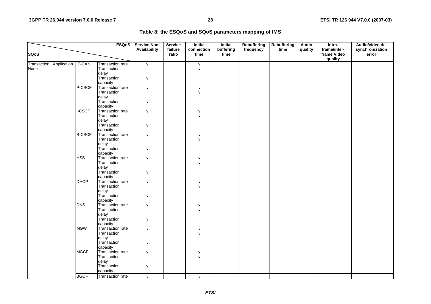|                                        |             | <b>ESQoS</b>                           | <b>Service Non-</b><br>Availability | Service<br>failure | <b>Initial</b><br>connection | <b>Initial</b><br>buffering | <b>Rebuffering</b><br>frequency | Rebuffering<br>time | <b>Audio</b><br>quality | Intra-<br>frame/inter- | Audio/video de-<br>synchronization |
|----------------------------------------|-------------|----------------------------------------|-------------------------------------|--------------------|------------------------------|-----------------------------|---------------------------------|---------------------|-------------------------|------------------------|------------------------------------|
| <b>SQoS</b>                            |             |                                        |                                     | ratio              | time                         | time                        |                                 |                     |                         | frame Video<br>quality | error                              |
| Transaction Application IP-CAN<br>Node |             | <b>Transaction rate</b><br>Transaction | $\sqrt{}$                           |                    | N                            |                             |                                 |                     |                         |                        |                                    |
|                                        |             | delay                                  |                                     |                    |                              |                             |                                 |                     |                         |                        |                                    |
|                                        |             | Transaction                            | V                                   |                    |                              |                             |                                 |                     |                         |                        |                                    |
|                                        |             | capacity                               |                                     |                    |                              |                             |                                 |                     |                         |                        |                                    |
|                                        | P-CSCF      | Transaction rate                       | V                                   |                    |                              |                             |                                 |                     |                         |                        |                                    |
|                                        |             | Transaction                            |                                     |                    |                              |                             |                                 |                     |                         |                        |                                    |
|                                        |             | delay                                  |                                     |                    |                              |                             |                                 |                     |                         |                        |                                    |
|                                        |             | Transaction                            |                                     |                    |                              |                             |                                 |                     |                         |                        |                                    |
|                                        |             | capacity                               |                                     |                    |                              |                             |                                 |                     |                         |                        |                                    |
|                                        | I-CSCF      | Transaction rate                       | V                                   |                    |                              |                             |                                 |                     |                         |                        |                                    |
|                                        |             | Transaction                            |                                     |                    |                              |                             |                                 |                     |                         |                        |                                    |
|                                        |             | delay                                  |                                     |                    |                              |                             |                                 |                     |                         |                        |                                    |
|                                        |             | Transaction<br>capacity                |                                     |                    |                              |                             |                                 |                     |                         |                        |                                    |
|                                        | S-CSCF      | Transaction rate                       | V                                   |                    |                              |                             |                                 |                     |                         |                        |                                    |
|                                        |             | Transaction                            |                                     |                    |                              |                             |                                 |                     |                         |                        |                                    |
|                                        |             | delay                                  |                                     |                    |                              |                             |                                 |                     |                         |                        |                                    |
|                                        |             | Transaction                            |                                     |                    |                              |                             |                                 |                     |                         |                        |                                    |
|                                        |             | capacity                               |                                     |                    |                              |                             |                                 |                     |                         |                        |                                    |
|                                        | <b>HSS</b>  | Transaction rate                       | V                                   |                    |                              |                             |                                 |                     |                         |                        |                                    |
|                                        |             | Transaction                            |                                     |                    |                              |                             |                                 |                     |                         |                        |                                    |
|                                        |             | delay                                  |                                     |                    |                              |                             |                                 |                     |                         |                        |                                    |
|                                        |             | Transaction                            | N                                   |                    |                              |                             |                                 |                     |                         |                        |                                    |
|                                        |             | capacity                               |                                     |                    |                              |                             |                                 |                     |                         |                        |                                    |
|                                        | <b>DHCP</b> | Transaction rate                       | V                                   |                    |                              |                             |                                 |                     |                         |                        |                                    |
|                                        |             | Transaction                            |                                     |                    |                              |                             |                                 |                     |                         |                        |                                    |
|                                        |             | delay                                  |                                     |                    |                              |                             |                                 |                     |                         |                        |                                    |
|                                        |             | Transaction<br>capacity                |                                     |                    |                              |                             |                                 |                     |                         |                        |                                    |
|                                        | <b>DNS</b>  | Transaction rate                       | ٧                                   |                    |                              |                             |                                 |                     |                         |                        |                                    |
|                                        |             | Transaction                            |                                     |                    |                              |                             |                                 |                     |                         |                        |                                    |
|                                        |             | delay                                  |                                     |                    |                              |                             |                                 |                     |                         |                        |                                    |
|                                        |             | Transaction                            | V                                   |                    |                              |                             |                                 |                     |                         |                        |                                    |
|                                        |             | capacity                               |                                     |                    |                              |                             |                                 |                     |                         |                        |                                    |
|                                        | <b>MGW</b>  | Transaction rate                       | V                                   |                    |                              |                             |                                 |                     |                         |                        |                                    |
|                                        |             | Transaction                            |                                     |                    |                              |                             |                                 |                     |                         |                        |                                    |
|                                        |             | delay                                  |                                     |                    |                              |                             |                                 |                     |                         |                        |                                    |
|                                        |             | Transaction                            |                                     |                    |                              |                             |                                 |                     |                         |                        |                                    |
|                                        |             | capacity                               |                                     |                    |                              |                             |                                 |                     |                         |                        |                                    |
|                                        | <b>MGCF</b> | Transaction rate                       | V                                   |                    |                              |                             |                                 |                     |                         |                        |                                    |
|                                        |             | Transaction                            |                                     |                    |                              |                             |                                 |                     |                         |                        |                                    |
|                                        |             | delay                                  |                                     |                    |                              |                             |                                 |                     |                         |                        |                                    |
|                                        |             | Transaction<br>capacity                | Å                                   |                    |                              |                             |                                 |                     |                         |                        |                                    |
|                                        | <b>BGCF</b> | Transaction rate                       | $\sqrt{ }$                          |                    |                              |                             |                                 |                     |                         |                        |                                    |
|                                        |             |                                        |                                     |                    | N.                           |                             |                                 |                     |                         |                        |                                    |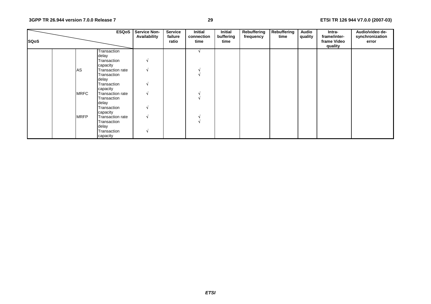| <b>SQoS</b> |             | <b>ESQoS</b>            | <b>Service Non-</b><br>Availability | <b>Service</b><br>failure<br>ratio | <b>Initial</b><br>connection<br>time | Initial<br>buffering<br>time | Rebuffering<br>frequency | Rebuffering<br>time | <b>Audio</b><br>quality | Intra-<br>frame/inter-<br>frame Video<br>quality | Audio/video de-<br>synchronization<br>error |
|-------------|-------------|-------------------------|-------------------------------------|------------------------------------|--------------------------------------|------------------------------|--------------------------|---------------------|-------------------------|--------------------------------------------------|---------------------------------------------|
|             |             | Transaction             |                                     |                                    |                                      |                              |                          |                     |                         |                                                  |                                             |
|             |             | delay                   |                                     |                                    |                                      |                              |                          |                     |                         |                                                  |                                             |
|             |             | Transaction<br>capacity | N                                   |                                    |                                      |                              |                          |                     |                         |                                                  |                                             |
|             | AS          | Transaction rate        | N                                   |                                    |                                      |                              |                          |                     |                         |                                                  |                                             |
|             |             | Transaction             |                                     |                                    |                                      |                              |                          |                     |                         |                                                  |                                             |
|             |             | delay                   |                                     |                                    |                                      |                              |                          |                     |                         |                                                  |                                             |
|             |             | Transaction             | N                                   |                                    |                                      |                              |                          |                     |                         |                                                  |                                             |
|             |             | capacity                |                                     |                                    |                                      |                              |                          |                     |                         |                                                  |                                             |
|             | <b>MRFC</b> | Transaction rate        | N                                   |                                    |                                      |                              |                          |                     |                         |                                                  |                                             |
|             |             | Transaction             |                                     |                                    |                                      |                              |                          |                     |                         |                                                  |                                             |
|             |             | delay                   |                                     |                                    |                                      |                              |                          |                     |                         |                                                  |                                             |
|             |             | Transaction             | N                                   |                                    |                                      |                              |                          |                     |                         |                                                  |                                             |
|             |             | capacity                |                                     |                                    |                                      |                              |                          |                     |                         |                                                  |                                             |
|             | <b>MRFP</b> | Transaction rate        | N                                   |                                    |                                      |                              |                          |                     |                         |                                                  |                                             |
|             |             | Transaction             |                                     |                                    |                                      |                              |                          |                     |                         |                                                  |                                             |
|             |             | delay                   |                                     |                                    |                                      |                              |                          |                     |                         |                                                  |                                             |
|             |             | Transaction             | N                                   |                                    |                                      |                              |                          |                     |                         |                                                  |                                             |
|             |             | capacity                |                                     |                                    |                                      |                              |                          |                     |                         |                                                  |                                             |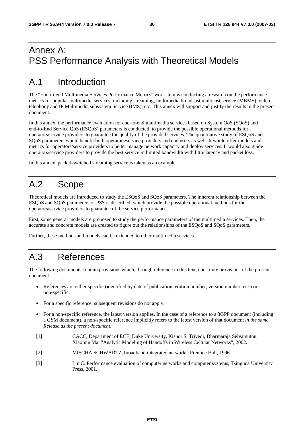# Annex A: PSS Performance Analysis with Theoretical Models

# A.1 Introduction

The "End-to-end Multimedia Services Performance Metrics" work item is conducting a research on the performance metrics for popular multimedia services, including streaming, multimedia broadcast multicast service (MBMS), video telephony and IP Multimedia subsystem Service (IMS), etc. This annex will support and justify the results in the present document.

In this annex, the performance evaluation for end-to-end multimedia services based on System QoS (SQoS) and end-to-End Service QoS (ESQoS) parameters is conducted, to provide the possible operational methods for operators/service providers to guarantee the quality of the provided services. The quantitative study of ESQoS and SQoS parameters would benefit both operators/service providers and end users as well. It would offer models and metrics for operators/service providers to better manage network capacity and deploy services. It would also guide operators/service providers to provide the best service in limited bandwidth with little latency and packet loss.

In this annex, packet-switched streaming service is taken as an example.

# A.2 Scope

Theoretical models are introduced to study the ESQoS and SQoS parameters. The inherent relationship between the ESQoS and SQoS parameters of PSS is described, which provide the possible operational methods for the operators/service providers to guarantee of the service performance.

First, some general models are proposed to study the performance parameters of the multimedia services. Then, the accurate and concrete models are created to figure out the relationships of the ESQoS and SQoS parameters.

Further, these methods and models can be extended to other multimedia services.

# A.3 References

The following documents contain provisions which, through reference in this text, constitute provisions of the present document.

- References are either specific (identified by date of publication, edition number, version number, etc.) or non-specific.
- For a specific reference, subsequent revisions do not apply.
- For a non-specific reference, the latest version applies. In the case of a reference to a 3GPP document (including a GSM document), a non-specific reference implicitly refers to the latest version of that document *in the same Release as the present document*.
- [1] CACC, Department of ECE, Duke University, Kishor S. Trivedi, Dharmaraja Selvamuthu, Xiaomin Ma: "Analytic Modeling of Handoffs in Wireless Cellular Networks", 2002.
- [2] MISCHA SCHWARTZ, broadband integrated networks, Prentice Hall, 1996.
- [3] Lin C. Performance evaluation of computer networks and computer systems, Tsinghua University Press, 2001.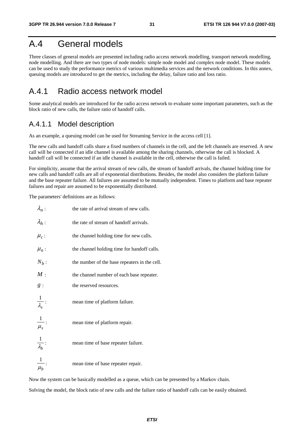# A.4 General models

Three classes of general models are presented including radio access network modelling, transport network modelling, node modelling. And there are two types of node models: simple node model and complex node model. These models can be used to study the performance metrics of various multimedia services and the network conditions. In this annex, queuing models are introduced to get the metrics, including the delay, failure ratio and loss ratio.

## A.4.1 Radio access network model

Some analytical models are introduced for the radio access network to evaluate some important parameters, such as the block ratio of new calls, the failure ratio of handoff calls.

### A.4.1.1 Model description

As an example, a queuing model can be used for Streaming Service in the access cell [1].

The new calls and handoff calls share a fixed numbers of channels in the cell, and the left channels are reserved. A new call will be connected if an idle channel is available among the sharing channels, otherwise the call is blocked. A handoff call will be connected if an idle channel is available in the cell, otherwise the call is failed.

For simplicity, assume that the arrival stream of new calls, the stream of handoff arrivals, the channel holding time for new calls and handoff calls are all of exponential distributions. Besides, the model also considers the platform failure and the base repeater failure. All failures are assumed to be mutually independent. Times to platform and base repeater failures and repair are assumed to be exponentially distributed.

The parameters' definitions are as follows:

| $\lambda_n$ :                 | the rate of arrival stream of new calls.      |
|-------------------------------|-----------------------------------------------|
| $\lambda_h$ :                 | the rate of stream of handoff arrivals.       |
| $\mu_c$ :                     | the channel holding time for new calls.       |
| $\mu_n$ :                     | the channel holding time for handoff calls.   |
| $N_b$ :                       | the number of the base repeaters in the cell. |
| M:                            | the channel number of each base repeater.     |
| g:                            | the reserved resources.                       |
| $\frac{1}{\lambda_s}$ :       | mean time of platform failure.                |
| $\frac{1}{\mu_s}$ :           | mean time of platform repair.                 |
| $\frac{1}{\lambda_b}$ :       | mean time of base repeater failure.           |
| $\vert$<br>$\overline{\mu_b}$ | mean time of base repeater repair.            |

Now the system can be basically modelled as a queue, which can be presented by a Markov chain.

Solving the model, the block ratio of new calls and the failure ratio of handoff calls can be easily obtained.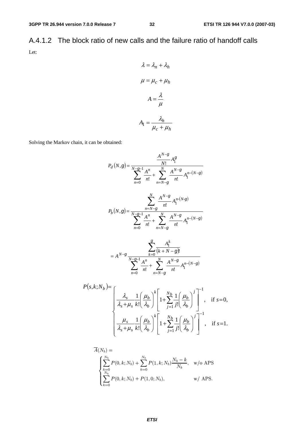A.4.1.2 The block ratio of new calls and the failure ratio of handoff calls Let:

$$
\lambda = \lambda_n + \lambda_h
$$

$$
\mu = \mu_c + \mu_h
$$

$$
A = \frac{\lambda}{\mu}
$$

$$
A_1 = \frac{\lambda_h}{\mu_c + \mu_h}
$$

Solving the Markov chain, it can be obtained:

$$
P_d(N,g) = \frac{A^{N-g}}{N-g-1} \frac{A^n}{n!} A_1^g
$$
  

$$
\sum_{n=0}^{N-g-1} \frac{A^n}{n!} + \sum_{n=N-g}^{N} \frac{A^{N-g}}{n!} A_1^{n-(N-g)}
$$
  

$$
P_b(N,g) = \frac{\sum_{n=N-g}^{N} \frac{A^{N-g}}{n!} A_1^{n(N-g)}}{\sum_{n=0}^{N-g-1} \frac{A^n}{n!} + \sum_{n=N-g}^{N} \frac{A^{N-g}}{n!} A_1^{n-(N-g)}}
$$
  

$$
= A^{N-g} \frac{\sum_{k=0}^{g} \frac{A_1^k}{(k+N-g)!}}{\sum_{n=0}^{N-g-1} \frac{A^n}{n!} + \sum_{n=N-g}^{N} \frac{A^{N-g}}{n!} A_1^{n-(N-g)}}
$$
  

$$
k; N_b = \begin{bmatrix} \lambda_s & 1 \left(\mu_b\right)^k \end{bmatrix} \begin{bmatrix} N_b & 1 \left(\mu_b\right)^j \end{bmatrix}^{-1}
$$

$$
P(s,k;N_b) = \n\begin{bmatrix}\n\frac{\lambda_s}{\lambda_s + \mu_s} \frac{1}{k!} \left( \frac{\mu_b}{\lambda_b} \right)^k \left[ 1 + \sum_{j=1}^{N_b} \frac{1}{j!} \left( \frac{\mu_b}{\lambda_b} \right)^j \right]^{-1}, & \text{if } s = 0, \\
\frac{\mu_s}{\lambda_s + \mu_s} \frac{1}{k!} \left( \frac{\mu_b}{\lambda_b} \right)^k \left[ 1 + \sum_{j=1}^{N_b} \frac{1}{j!} \left( \frac{\mu_b}{\lambda_b} \right)^j \right]^{-1}, & \text{if } s = 1.\n\end{bmatrix}
$$

$$
\overline{A}(N_b) = \begin{cases}\n\sum_{k=0}^{N_b} P(0, k; N_b) + \sum_{k=0}^{N_b} P(1, k; N_b) \frac{N_b - k}{N_b}, & \text{w/o APS} \\
\sum_{k=0}^{N_b} P(0, k; N_b) + P(1, 0; N_b), & \text{w/ APS.} \n\end{cases}
$$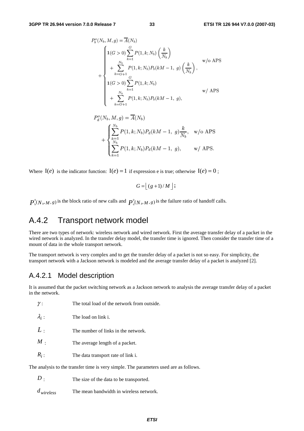$$
P_b^o(N_b, M, g) = \overline{A}(N_b)
$$
  
\n
$$
1(G > 0) \sum_{k=1}^G P(1, k; N_b) \left(\frac{k}{N_b}\right)
$$
  
\n
$$
+ \sum_{k=G+1}^{N_b} P(1, k; N_b) P_b(kM - 1, g) \left(\frac{k}{N_b}\right),
$$
  
\n
$$
1(G > 0) \sum_{k=1}^G P(1, k; N_b)
$$
  
\n
$$
+ \sum_{k=G+1}^{N_b} P(1, k; N_b) P_b(kM - 1, g),
$$
  
\n
$$
w / APS
$$

$$
P_d^o(N_b, M, g) = \overline{A}(N_b)
$$
  
+ 
$$
\begin{cases} \sum_{k=1}^{N_b} P(1, k; N_b) P_d(kM - 1, g) \frac{k}{N_b}, & \text{w/o APS} \\ \sum_{k=1}^{N_b} P(1, k; N_b) P_d(kM - 1, g), & \text{w/ APS.} \end{cases}
$$

Where  $I(e)$  is the indicator function:  $I(e) = 1$  if expression e is true; otherwise  $I(e) = 0$ ;

$$
G = \lfloor (g+1)/M \rfloor;
$$

0  $P_b^0(N_b, M, g)$  is the block ratio of new calls and  $P_a^0(N_b, M, g)$  is the failure ratio of handoff calls.

## A.4.2 Transport network model

There are two types of network: wireless network and wired network. First the average transfer delay of a packet in the wired network is analyzed. In the transfer delay model, the transfer time is ignored. Then consider the transfer time of a mount of data in the whole transport network.

The transport network is very complex and to get the transfer delay of a packet is not so easy. For simplicity, the transport network with a Jackson network is modeled and the average transfer delay of a packet is analyzed [2].

## A.4.2.1 Model description

It is assumed that the packet switching network as a Jackson network to analysis the average transfer delay of a packet in the network.

| ,,                                                                                    | THE total load of the network from outside. |  |  |  |  |  |
|---------------------------------------------------------------------------------------|---------------------------------------------|--|--|--|--|--|
| $\lambda_i$ :                                                                         | The load on link i.                         |  |  |  |  |  |
| L:                                                                                    | The number of links in the network.         |  |  |  |  |  |
| $M$ .                                                                                 | The average length of a packet.             |  |  |  |  |  |
| $R_i$ :                                                                               | The data transport rate of link i.          |  |  |  |  |  |
| The analysis to the transfer time is very simple. The parameters used are as follows. |                                             |  |  |  |  |  |

*D* : The size of the data to be transported.

*dwireless* The mean bandwidth in wireless network.

γ : The total load of the network from outside.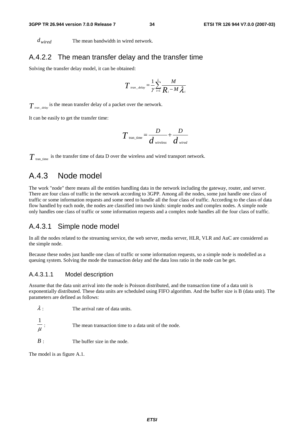*dwired* The mean bandwidth in wired network.

#### A.4.2.2 The mean transfer delay and the transfer time

Solving the transfer delay model, it can be obtained:

$$
T_{\text{tran\_delay}} = \frac{1}{\gamma} \sum_{i=1}^{L} \frac{M}{R_i - M \lambda_i}
$$

 $T_{\textit{tran\_delay}}$  is the mean transfer delay of a packet over the network.

It can be easily to get the transfer time:

$$
T_{\text{tran\_time}} = \frac{D}{d_{\text{wireless}}} + \frac{D}{d_{\text{wired}}}
$$

 $T_{\text{tran time}}$  is the transfer time of data D over the wireless and wired transport network.

## A.4.3 Node model

The work "node" there means all the entities handling data in the network including the gateway, router, and server. There are four class of traffic in the network according to 3GPP. Among all the nodes, some just handle one class of traffic or some information requests and some need to handle all the four class of traffic. According to the class of data flow handled by each node, the nodes are classified into two kinds: simple nodes and complex nodes. A simple node only handles one class of traffic or some information requests and a complex node handles all the four class of traffic.

#### A.4.3.1 Simple node model

In all the nodes related to the streaming service, the web server, media server, HLR, VLR and AuC are considered as the simple node.

Because these nodes just handle one class of traffic or some information requests, so a simple node is modelled as a queuing system. Solving the mode the transaction delay and the data loss ratio in the node can be get.

#### A.4.3.1.1 Model description

Assume that the data unit arrival into the node is Poisson distributed, and the transaction time of a data unit is exponentially distributed. These data units are scheduled using FIFO algorithm. And the buffer size is B (data unit). The parameters are defined as follows:

| $\lambda$ : | The arrival rate of data units. |
|-------------|---------------------------------|
|             |                                 |

μ 1 The mean transaction time to a data unit of the node.

*B* : The buffer size in the node.

The model is as figure A.1.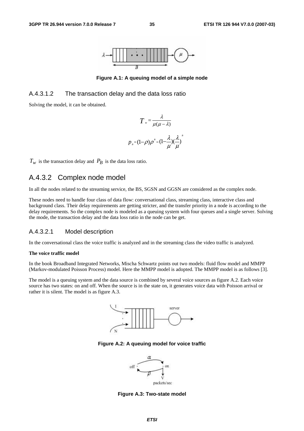

**Figure A.1: A queuing model of a simple node** 

#### A.4.3.1.2 The transaction delay and the data loss ratio

Solving the model, it can be obtained.

$$
T = \frac{\lambda}{\mu(\mu - \lambda)}
$$

$$
p_{B} = (1 - \rho)\rho^{B} = (1 - \frac{\lambda}{\mu})(\frac{\lambda}{\mu})
$$

*B*

 $T_w$  is the transaction delay and  $P_B$  is the data loss ratio.

## A.4.3.2 Complex node model

In all the nodes related to the streaming service, the BS, SGSN and GGSN are considered as the complex node.

These nodes need to handle four class of data flow: conversational class, streaming class, interactive class and background class. Their delay requirements are getting stricter, and the transfer priority in a node is according to the delay requirements. So the complex node is modeled as a queuing system with four queues and a single server. Solving the mode, the transaction delay and the data loss ratio in the node can be get.

#### A.4.3.2.1 Model description

In the conversational class the voice traffic is analyzed and in the streaming class the video traffic is analyzed.

#### **The voice traffic model**

In the book Broadband Integrated Networks, Mischa Schwartz points out two models: fluid flow model and MMPP (Markov-modulated Poisson Process) model. Here the MMPP model is adopted. The MMPP model is as follows [3].

The model is a queuing system and the data source is combined by several voice sources as figure A.2. Each voice source has two states: on and off. When the source is in the state on, it generates voice data with Poisson arrival or rather it is silent. The model is as figure A.3.



**Figure A.2: A queuing model for voice traffic** 



**Figure A.3: Two-state model**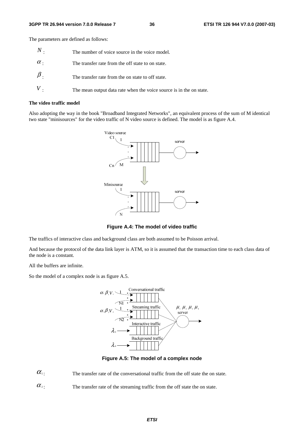The parameters are defined as follows:

| $\,N$ .    | The number of voice source in the voice model.                      |
|------------|---------------------------------------------------------------------|
| $\alpha$ . | The transfer rate from the off state to on state.                   |
| $\beta$ .  | The transfer rate from the on state to off state.                   |
|            | The mean output data rate when the voice source is in the on state. |

#### **The video traffic model**

Also adopting the way in the book "Broadband Integrated Networks", an equivalent process of the sum of M identical two state "minisources" for the video traffic of N video source is defined. The model is as figure A.4.



**Figure A.4: The model of video traffic** 

The traffics of interactive class and background class are both assumed to be Poisson arrival.

And because the protocol of the data link layer is ATM, so it is assumed that the transaction time to each class data of the node is a constant.

All the buffers are infinite.

So the model of a complex node is as figure A.5.



**Figure A.5: The model of a complex node** 

 $\alpha_1$ : The transfer rate of the conversational traffic from the off state the on state.

 $\alpha$ <sup>2</sup>: The transfer rate of the streaming traffic from the off state the on state.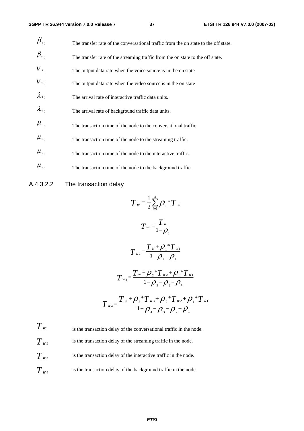| $\pmb{\beta}_{\shortparallel}.$                       | The transfer rate of the conversational traffic from the on state to the off state. |
|-------------------------------------------------------|-------------------------------------------------------------------------------------|
| $\beta_{\scriptscriptstyle 2}$                        | The transfer rate of the streaming traffic from the on state to the off state.      |
| $V_{\perp}$                                           | The output data rate when the voice source is in the on state                       |
| $V_{2}$ .                                             | The output data rate when the video source is in the on state                       |
| $\lambda_{3}$                                         | The arrival rate of interactive traffic data units.                                 |
| $\lambda_4$                                           | The arrival rate of background traffic data units.                                  |
| $\mu_{\overline{\mathfrak{a}}}$                       | The transaction time of the node to the conversational traffic.                     |
| $\mu_{\scriptscriptstyle 2}$ .                        | The transaction time of the node to the streaming traffic.                          |
| $\mu_{\scriptscriptstyle 3}$ .                        | The transaction time of the node to the interactive traffic.                        |
| $\mu_{\scriptscriptstyle 4}^{\scriptscriptstyle +}$ . | The transaction time of the node to the background traffic.                         |

### A.4.3.2.2 The transaction delay

$$
T_{w} = \frac{1}{2} \sum_{i=1}^{4} \rho_{i} * T_{si}
$$
  
\n
$$
T_{w1} = \frac{T_{w}}{1 - \rho_{1}}
$$
  
\n
$$
T_{w2} = \frac{T_{w} + \rho_{1} * T_{w1}}{1 - \rho_{2} - \rho_{1}}
$$
  
\n
$$
T_{w3} = \frac{T_{w} + \rho_{2} * T_{w2} + \rho_{1} * T_{w1}}{1 - \rho_{3} - \rho_{2} - \rho_{1}}
$$
  
\n
$$
T_{w4} = \frac{T_{w} + \rho_{3} * T_{w3} + \rho_{2} * T_{w2} + \rho_{1} * T_{w1}}{1 - \rho_{4} - \rho_{3} - \rho_{2} - \rho_{1}}
$$

 $T_{W1}$  is the transaction delay of the conversational traffic in the node.  $T_{W2}$  is the transaction delay of the streaming traffic in the node.  $T_{w3}$  is the transaction delay of the interactive traffic in the node.  $T_{w_4}$  is the transaction delay of the background traffic in the node.

*ETSI*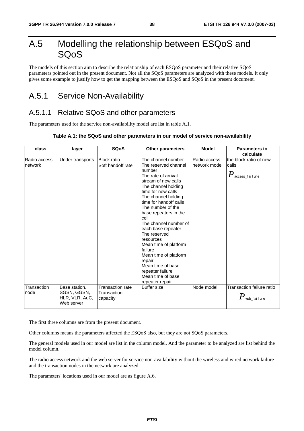# A.5 Modelling the relationship between ESQoS and SQoS

The models of this section aim to describe the relationship of each ESQoS parameter and their relative SQoS parameters pointed out in the present document. Not all the SQoS parameters are analyzed with these models. It only gives some example to justify how to get the mapping between the ESQoS and SQoS in the present document.

# A.5.1 Service Non-Availability

## A.5.1.1 Relative SQoS and other parameters

The parameters used for the service non-availability model are list in table A.1.

#### **Table A.1: the SQoS and other parameters in our model of service non-availability**

| class                   | layer                                                        | <b>SQoS</b>                                 | <b>Other parameters</b>                                                                                                                                                                                                                                                                                                                                                                                                                                                                    | <b>Model</b>                  | <b>Parameters to</b><br>calculate                               |
|-------------------------|--------------------------------------------------------------|---------------------------------------------|--------------------------------------------------------------------------------------------------------------------------------------------------------------------------------------------------------------------------------------------------------------------------------------------------------------------------------------------------------------------------------------------------------------------------------------------------------------------------------------------|-------------------------------|-----------------------------------------------------------------|
| Radio access<br>network | Under transports                                             | <b>Block ratio</b><br>Soft handoff rate     | The channel number<br>The reserved channel<br>number<br>The rate of arrival<br>stream of new calls<br>The channel holding<br>time for new calls<br>The channel holding<br>time for handoff calls<br>The number of the<br>base repeaters in the<br>cell<br>The channel number of<br>each base repeater<br>The reserved<br>resources<br>Mean time of platform<br>failure<br>Mean time of platform<br>repair<br>Mean time of base<br>repeater failure<br>Mean time of base<br>repeater repair | Radio access<br>network model | the block ratio of new<br>calls<br>$P_{\,\rm access\_fail}$ ure |
| Transaction<br>node     | Base station,<br>SGSN, GGSN,<br>HLR, VLR, AuC,<br>Web server | Transaction rate<br>Transaction<br>capacity | <b>Buffer</b> size                                                                                                                                                                                                                                                                                                                                                                                                                                                                         | Node model                    | Transaction failure ratio<br>$\pmb{P}$ web_failure              |

The first three columns are from the present document.

Other columns means the parameters affected the ESQoS also, but they are not SQoS parameters.

The general models used in our model are list in the column model. And the parameter to be analyzed are list behind the model column.

The radio access network and the web server for service non-availability without the wireless and wired network failure and the transaction nodes in the network are analyzed.

The parameters' locations used in our model are as figure A.6.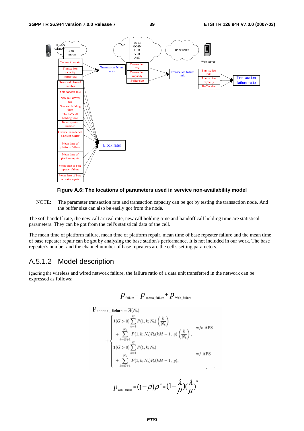



NOTE: The parameter transaction rate and transaction capacity can be got by testing the transaction node. And the buffer size can also be easily got from the node.

The soft handoff rate, the new call arrival rate, new call holding time and handoff call holding time are statistical parameters. They can be got from the cell's statistical data of the cell.

The mean time of platform failure, mean time of platform repair, mean time of base repeater failure and the mean time of base repeater repair can be got by analysing the base station's performance. It is not included in our work. The base repeater's number and the channel number of base repeaters are the cell's setting parameters.

### A.5.1.2 Model description

Ignoring the wireless and wired network failure, the failure ratio of a data unit transferred in the network can be expressed as follows:

$$
p_{\text{failure}} = p_{\text{access\_failure}} + p_{\text{web\_failure}}
$$

$$
P_{access\_failure} = \overline{A}(N_b)
$$
\n
$$
+ \begin{cases}\n1(G > 0) \sum_{k=1}^{G} P(1, k; N_b) \left(\frac{k}{N_b}\right) & \text{w/o APS} \\
+ \sum_{k=G+1}^{N_b} P(1, k; N_b) P_b(kM - 1, g) \left(\frac{k}{N_b}\right), & \text{w/o APS} \\
1(G > 0) \sum_{k=1}^{G} P(1, k; N_b) & \text{w/ APS} \\
+ \sum_{k=G+1}^{N_b} P(1, k; N_b) P_b(kM - 1, g), & \text{w/ APS}\n\end{cases}
$$

$$
p_{\text{web\_failure}} = (1 - \rho)\rho^B = (1 - \frac{\lambda}{\mu})(\frac{\lambda}{\mu})^B
$$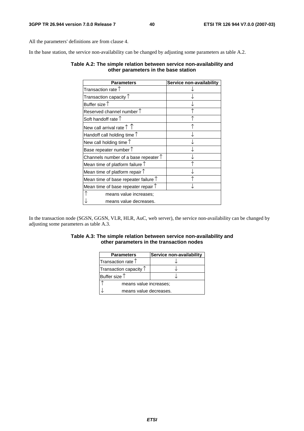All the parameters' definitions are from clause 4.

In the base station, the service non-availability can be changed by adjusting some parameters as table A.2.

#### **Table A.2: The simple relation between service non-availability and other parameters in the base station**

| <b>Parameters</b>                             | Service non-availability |
|-----------------------------------------------|--------------------------|
| Transaction rate $\uparrow$                   |                          |
| Transaction capacity $\uparrow$               |                          |
| Buffer size $\uparrow$                        |                          |
| Reserved channel number $\uparrow$            |                          |
| Soft handoff rate $\uparrow$                  |                          |
| New call arrival rate $\uparrow \uparrow$     |                          |
| Handoff call holding time $\uparrow$          |                          |
| New call holding time $\uparrow$              |                          |
| Base repeater number $\uparrow$               |                          |
| Channels number of a base repeater $\uparrow$ |                          |
| Mean time of platform failure $\uparrow$      |                          |
| Mean time of platform repair $\uparrow$       |                          |
| Mean time of base repeater failure $\uparrow$ |                          |
| Mean time of base repeater repair $\uparrow$  |                          |
| means value increases;                        |                          |
| means value decreases.                        |                          |

In the transaction node (SGSN, GGSN, VLR, HLR, AuC, web server), the service non-availability can be changed by adjusting some parameters as table A.3.

#### **Table A.3: The simple relation between service non-availability and other parameters in the transaction nodes**

| <b>Parameters</b>               | Service non-availability |  |
|---------------------------------|--------------------------|--|
| Transaction rate $†$            |                          |  |
| Transaction capacity $\uparrow$ |                          |  |
| Buffer size $\uparrow$          |                          |  |
| means value increases;          |                          |  |
| means value decreases.          |                          |  |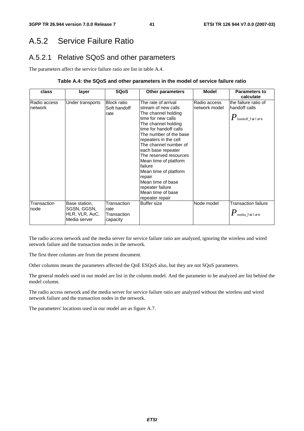# A.5.2 Service Failure Ratio

## A.5.2.1 Relative SQoS and other parameters

The parameters affect the service failure ratio are list in table A.4.

#### **Table A.4: the SQoS and other parameters in the model of service failure ratio**

| class                   | layer                                                          | <b>SQoS</b>                                    | <b>Other parameters</b>                                                                                                                                                                                                                                                                                                                                                                                                      | <b>Model</b>                  | Parameters to<br>calculate                                                  |
|-------------------------|----------------------------------------------------------------|------------------------------------------------|------------------------------------------------------------------------------------------------------------------------------------------------------------------------------------------------------------------------------------------------------------------------------------------------------------------------------------------------------------------------------------------------------------------------------|-------------------------------|-----------------------------------------------------------------------------|
| Radio access<br>network | Under transports                                               | <b>Block ratio</b><br>Soft handoff<br>rate     | The rate of arrival<br>stream of new calls<br>The channel holding<br>time for new calls<br>The channel holding<br>time for handoff calls<br>The number of the base<br>repeaters in the cell<br>The channel number of<br>each base repeater<br>The reserved resources<br>Mean time of platform<br>failure<br>Mean time of platform<br>repair<br>Mean time of base<br>repeater failure<br>Mean time of base<br>repeater repair | Radio access<br>network model | the failure ratio of<br>handoff calls<br>$\pmb{P}_\text{handoff\_f}$ ailure |
| Transaction<br>node     | Base station,<br>SGSN, GGSN,<br>HLR, VLR, AuC,<br>Media server | Transaction<br>rate<br>Transaction<br>capacity | Buffer size                                                                                                                                                                                                                                                                                                                                                                                                                  | Node model                    | <b>Transaction failure</b><br>$\pmb{P}$ media_failure                       |

The radio access network and the media server for service failure ratio are analyzed, ignoring the wireless and wired network failure and the transaction nodes in the network.

The first three columns are from the present document.

Other columns means the parameters affected the QoE ESQoS also, but they are not SQoS parameters.

The general models used in our model are list in the column model. And the parameter to be analyzed are list behind the model column.

The radio access network and the media server for service failure ratio are analyzed without the wireless and wired network failure and the transaction nodes in the network.

The parameters' locations used in our model are as figure A.7.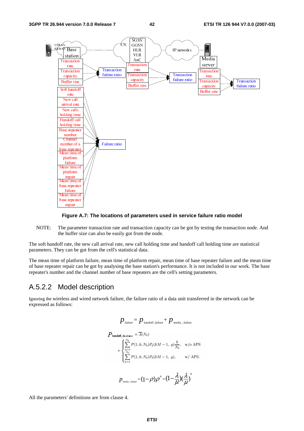

#### **Figure A.7: The locations of parameters used in service failure ratio model**

NOTE: The parameter transaction rate and transaction capacity can be got by testing the transaction node. And the buffer size can also be easily got from the node.

The soft handoff rate, the new call arrival rate, new call holding time and handoff call holding time are statistical parameters. They can be got from the cell's statistical data.

The mean time of platform failure, mean time of platform repair, mean time of base repeater failure and the mean time of base repeater repair can be got by analysing the base station's performance. It is not included in our work. The base repeater's number and the channel number of base repeaters are the cell's setting parameters.

#### A.5.2.2 Model description

Ignoring the wireless and wired network failure, the failure ratio of a data unit transferred in the network can be expressed as follows:

$$
p_{\text{failure}} = p_{\text{handoff\_failure}} + p_{\text{median\_failure}}
$$
\n
$$
P_{\text{handoff\_failure}} = \overline{A}(N_b)
$$
\n
$$
+ \begin{cases} \sum_{k=1}^{N_b} P(1, k; N_b) P_d(kM - 1, g) \frac{k}{N_b}, & \text{w/o APS} \\ \sum_{k=1}^{N_b} P(1, k; N_b) P_d(kM - 1, g), & \text{w/APS.} \end{cases}
$$
\n
$$
p_{\text{median\_failure}} = (1 - \rho)\rho^B = (1 - \frac{\lambda}{\mu})(\frac{\lambda}{\mu})^B
$$

All the parameters' definitions are from clause 4.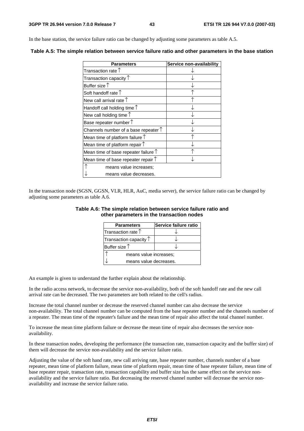In the base station, the service failure ratio can be changed by adjusting some parameters as table A.5.

| <b>Parameters</b>                             | Service non-availability |
|-----------------------------------------------|--------------------------|
| Transaction rate $\uparrow$                   |                          |
| Transaction capacity $\uparrow$               |                          |
| Buffer size $\uparrow$                        |                          |
| Soft handoff rate $\uparrow$                  |                          |
| New call arrival rate $\uparrow$              |                          |
| Handoff call holding time $\uparrow$          |                          |
| New call holding time $\uparrow$              |                          |
| Base repeater number $\uparrow$               |                          |
| Channels number of a base repeater $\uparrow$ |                          |
| Mean time of platform failure $\uparrow$      |                          |
| Mean time of platform repair $\uparrow$       |                          |
| Mean time of base repeater failure $\uparrow$ |                          |
| Mean time of base repeater repair $\uparrow$  |                          |
| means value increases;                        |                          |
| means value decreases.                        |                          |

**Table A.5: The simple relation between service failure ratio and other parameters in the base station** 

In the transaction node (SGSN, GGSN, VLR, HLR, AuC, media server), the service failure ratio can be changed by adjusting some parameters as table A.6.

#### **Table A.6: The simple relation between service failure ratio and other parameters in the transaction nodes**

| <b>Parameters</b>               | Service failure ratio |  |
|---------------------------------|-----------------------|--|
| Transaction rate $\uparrow$     |                       |  |
| Transaction capacity $\uparrow$ |                       |  |
| Buffer size $\uparrow$          |                       |  |
| means value increases;          |                       |  |
| means value decreases.          |                       |  |

An example is given to understand the further explain about the relationship.

In the radio access network, to decrease the service non-availability, both of the soft handoff rate and the new call arrival rate can be decreased. The two parameters are both related to the cell's radius.

Increase the total channel number or decrease the reserved channel number can also decrease the service non-availability. The total channel number can be computed from the base repeater number and the channels number of a repeater. The mean time of the repeater's failure and the mean time of repair also affect the total channel number.

To increase the mean time platform failure or decrease the mean time of repair also decreases the service nonavailability.

In these transaction nodes, developing the performance (the transaction rate, transaction capacity and the buffer size) of them will decrease the service non-availability and the service failure ratio.

Adjusting the value of the soft hand rate, new call arriving rate, base repeater number, channels number of a base repeater, mean time of platform failure, mean time of platform repair, mean time of base repeater failure, mean time of base repeater repair, transaction rate, transaction capability and buffer size has the same effect on the service nonavailability and the service failure ratio. But decreasing the reserved channel number will decrease the service nonavailability and increase the service failure ratio.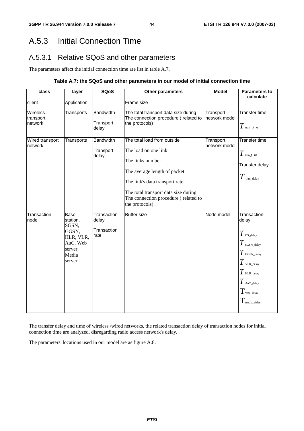# A.5.3 Initial Connection Time

## A.5.3.1 Relative SQoS and other parameters

The parameters affect the initial connection time are list in table A.7.

#### **Table A.7: the SQoS and other parameters in our model of initial connection time**

| class                                   | layer                                                                                     | <b>SQoS</b>                                 | Other parameters                                                                                                                                                                                                                            | <b>Model</b>               | <b>Parameters to</b><br>calculate                                                                                                                                                                |
|-----------------------------------------|-------------------------------------------------------------------------------------------|---------------------------------------------|---------------------------------------------------------------------------------------------------------------------------------------------------------------------------------------------------------------------------------------------|----------------------------|--------------------------------------------------------------------------------------------------------------------------------------------------------------------------------------------------|
| client                                  | Application                                                                               |                                             | Frame size                                                                                                                                                                                                                                  |                            |                                                                                                                                                                                                  |
| <b>Wireless</b><br>transport<br>network | Transports                                                                                | <b>Bandwidth</b><br>Transport<br>delay      | The total transport data size during<br>The connection procedure (related to<br>the protocols)                                                                                                                                              | Transport<br>network model | <b>Transfer time</b><br>$T$ tran_t i me                                                                                                                                                          |
| Wired transport<br>network              | Transports                                                                                | <b>Bandwidth</b><br>Transport<br>delay      | The total load from outside<br>The load on one link<br>The links number<br>The average length of packet<br>The link's data transport rate<br>The total transport data size during<br>The connection procedure (related to<br>the protocols) | Transport<br>network model | <b>Transfer time</b><br>$T$ tran_t i me<br>Transfer delay<br>$T$ tran_delay                                                                                                                      |
| Transaction<br>node                     | Base<br>station,<br>SGSN,<br>GGSN,<br>HLR, VLR,<br>AuC, Web<br>server,<br>Media<br>server | Transaction<br>delay<br>Transaction<br>rate | <b>Buffer size</b>                                                                                                                                                                                                                          | Node model                 | Transaction<br>delay<br>$T$ BS_delay<br>$T$ SGSN_delay<br>$T$ GGSN_delay<br>$T$ vlr._delay<br>$T$ HLR_delay<br>$T$ AuC_delay<br>$T_{\scriptscriptstyle\rm web\_delay}$<br>$T_{\rm media\_delay}$ |

The transfer delay and time of wireless /wired networks, the related transaction delay of transaction nodes for initial connection time are analyzed, disregarding radio access network's delay.

The parameters' locations used in our model are as figure A.8.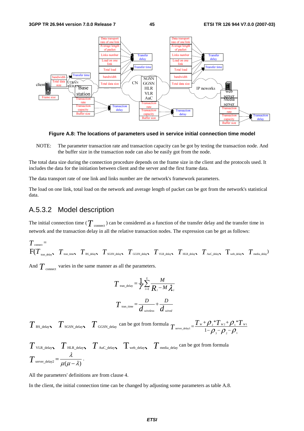

**Figure A.8: The locations of parameters used in service initial connection time model** 

NOTE: The parameter transaction rate and transaction capacity can be got by testing the transaction node. And the buffer size in the transaction node can also be easily got from the node.

The total data size during the connection procedure depends on the frame size in the client and the protocols used. It includes the data for the initiation between client and the server and the first frame data.

The data transport rate of one link and links number are the network's framework parameters.

The load on one link, total load on the network and average length of packet can be got from the network's statistical data.

#### A.5.3.2 Model description

The initial connection time ( $T$  <sub>connect</sub>) can be considered as a function of the transfer delay and the transfer time in network and the transaction delay in all the relative transaction nodes. The expression can be get as follows:

$$
T_{\text{connect}} = \nF(T_{\text{tran\_delay}}, T_{\text{tran\_time}}, T_{\text{BS\_delay}}, T_{\text{SGSN\_delay}}, T_{\text{GGSN\_delay}}, T_{\text{VLR\_delay}}, T_{\text{HL\_delay}}, T_{\text{Auc\_delay}}, T_{\text{web\_delay}}, T_{\text{median}})
$$

And  $T_{\text{connect}}$  varies in the same manner as all the parameters.

$$
T_{\text{tran\_delay}} = \frac{1}{\gamma} \sum_{i=1}^{L} \frac{M}{R_i - M \lambda_i}
$$

$$
T_{\text{tran\_time}} = \frac{D}{d_{\text{wireless}}} + \frac{D}{d_{\text{wire}}
$$

 $T$ <sub>BS\_delay  $T$ <sub>SGSN\_delay</sub>  $T$ <sub>GGSN\_delay</sub> can be got from formula  $T$ <sub>server\_delay1</sub> =  $\frac{T_w + \rho_z * T_{w_2} + \rho_1 * T_{w_1}}{1 - \rho_z - \rho_z - \rho_z}$ </sub> 3  $\mu_2$   $\mu_1$  $T_{w_2}$ +  $Q^*$  $T_{\text{server\_delay1}} = \frac{T_w + \rho_{2} * T_{w2} + \rho_{1} * T_w}{1 - \rho_{3} - \rho_{2} - \rho_{1}}$ 

$$
T_{\text{VLR\_delay}} \sum_{\text{HLR\_delay}} T_{\text{Auc\_delay}} \sum_{\text{web\_delay}} T_{\text{median}} \sum_{\text{c} \text{mean}} \sum_{\text{c} \text{norm formula}} T_{\text{Sover\_delay}} = \frac{\lambda}{\mu(\mu - \lambda)}.
$$

All the parameters' definitions are from clause 4.

In the client, the initial connection time can be changed by adjusting some parameters as table A.8.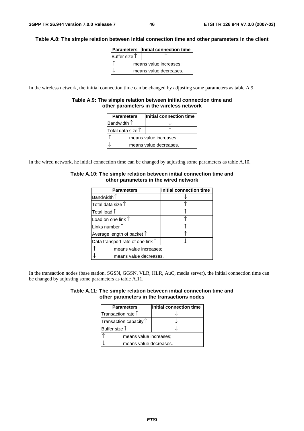#### **Table A.8: The simple relation between initial connection time and other parameters in the client**

|                        | <b>Parameters</b> Initial connection time |
|------------------------|-------------------------------------------|
| Buffer size $\uparrow$ |                                           |
| means value increases; |                                           |
|                        | means value decreases.                    |

In the wireless network, the initial connection time can be changed by adjusting some parameters as table A.9.

#### **Table A.9: The simple relation between initial connection time and other parameters in the wireless network**

| <b>Parameters</b>          | Initial connection time |  |
|----------------------------|-------------------------|--|
| Bandwidth $\uparrow$       |                         |  |
| Total data size $\uparrow$ |                         |  |
| means value increases;     |                         |  |
|                            | means value decreases.  |  |

In the wired network, he initial connection time can be changed by adjusting some parameters as table A.10.

| <b>Parameters</b>                          | Initial connection time |  |
|--------------------------------------------|-------------------------|--|
| Bandwidth $\uparrow$                       |                         |  |
| Total data size $\uparrow$                 |                         |  |
| Total load $\uparrow$                      |                         |  |
| Load on one link $\uparrow$                |                         |  |
| Links number $\uparrow$                    |                         |  |
| Average length of packet $\uparrow$        |                         |  |
| Data transport rate of one link $\uparrow$ |                         |  |
| means value increases;                     |                         |  |
| means value decreases.                     |                         |  |

#### **Table A.10: The simple relation between initial connection time and other parameters in the wired network**

In the transaction nodes (base station, SGSN, GGSN, VLR, HLR, AuC, media server), the initial connection time can be changed by adjusting some parameters as table A.11.

|                                            | Table A.11: The simple relation between initial connection time and |
|--------------------------------------------|---------------------------------------------------------------------|
| other parameters in the transactions nodes |                                                                     |

| <b>Parameters</b>               | Initial connection time |  |
|---------------------------------|-------------------------|--|
| Transaction rate $\uparrow$     |                         |  |
| Transaction capacity $\uparrow$ |                         |  |
| Buffer size $\uparrow$          |                         |  |
| means value increases;          |                         |  |
| means value decreases.          |                         |  |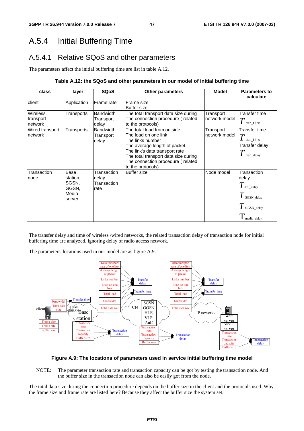# A.5.4 Initial Buffering Time

## A.5.4.1 Relative SQoS and other parameters

The parameters affect the initial buffering time are list in table A.12.

#### **Table A.12: the SQoS and other parameters in our model of initial buffering time**

| class                                   | layer                                                 | <b>SQoS</b>                                 | <b>Other parameters</b>                                                                                                                                                                                                                     | <b>Model</b>               | <b>Parameters to</b><br>calculate                                                          |
|-----------------------------------------|-------------------------------------------------------|---------------------------------------------|---------------------------------------------------------------------------------------------------------------------------------------------------------------------------------------------------------------------------------------------|----------------------------|--------------------------------------------------------------------------------------------|
| client                                  | Application                                           | Frame rate                                  | Frame size<br><b>Buffer size</b>                                                                                                                                                                                                            |                            |                                                                                            |
| <b>Wireless</b><br>transport<br>network | Transports                                            | <b>Bandwidth</b><br>Transport<br>delay      | The total transport data size during<br>The connection procedure (related<br>to the protocols)                                                                                                                                              | Transport<br>network model | Transfer time<br>tran_t i me                                                               |
| Wired transport<br>network              | Transports                                            | <b>Bandwidth</b><br>Transport<br>delay      | The total load from outside<br>The load on one link<br>The links number<br>The average length of packet<br>The link's data transport rate<br>The total transport data size during<br>The connection procedure (related<br>to the protocols) | Transport<br>network model | Transfer time<br>$\bm{T}$<br>tran time<br>Transfer delay<br>tran delay                     |
| Transaction<br>node                     | Base<br>station,<br>SGSN,<br>GGSN,<br>Media<br>server | Transaction<br>delay<br>Transaction<br>rate | <b>Buffer size</b>                                                                                                                                                                                                                          | Node model                 | Transaction<br>delay<br>$\mathbf{I}$ BS_delay<br>SGSN delay<br>GGSN delay<br>I media_delay |

The transfer delay and time of wireless /wired networks, the related transaction delay of transaction node for initial buffering time are analyzed, ignoring delay of radio access network.

The parameters' locations used in our model are as figure A.9.



#### **Figure A.9: The locations of parameters used in service initial buffering time model**

NOTE: The parameter transaction rate and transaction capacity can be got by testing the transaction node. And the buffer size in the transaction node can also be easily got from the node.

The total data size during the connection procedure depends on the buffer size in the client and the protocols used. Why the frame size and frame rate are listed here? Because they affect the buffer size the system set.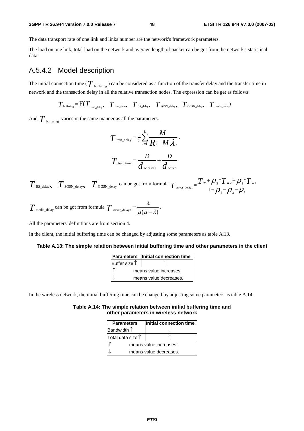#### **3GPP TR 26.944 version 7.0.0 Release 7 48 ETSI TR 126 944 V7.0.0 (2007-03)**

The data transport rate of one link and links number are the network's framework parameters.

The load on one link, total load on the network and average length of packet can be got from the network's statistical data.

### A.5.4.2 Model description

The initial connection time ( $T_{\text{buffering}}$ ) can be considered as a function of the transfer delay and the transfer time in network and the transaction delay in all the relative transaction nodes. The expression can be get as follows:

 $T_{\text{buffering}} = \text{F}(T_{\text{tran delay}} \mid T_{\text{tran time}} \mid T_{\text{BS delay}} \mid T_{\text{SGSN delay}} \mid T_{\text{GGSN delay}} \mid T_{\text{median}})$ 

And  $T_{\text{buffering}}$  varies in the same manner as all the parameters.

$$
T_{\text{tran\_delay}} = \frac{1}{\gamma} \sum_{i=1}^{L} \frac{M}{R_i - M \lambda_i}.
$$

$$
T_{\text{tran\_time}} = \frac{D}{d_{\text{wireless}}} + \frac{D}{d_{\text{wire}}}
$$

 $T$  BS\_delay  $T$  SGSN\_delay  $T$  GGSN\_delay can be got from formula  $T$  server\_delay1 =  $\frac{T_W + \rho_2 T_W + \rho_1 T_W}{1 - \rho_1 - \rho_2}$ 3  ${\cal F}$  2  ${\cal F}$  1  $*T_{w}$ + $\mathcal{O}.*$  $T_{\text{server\_delay1}} = \frac{T_w + \rho_{_2} * T_{w_2} + \rho_{_1} * T_w}{1 - \rho_{_3} - \rho_{_2} - \rho_{_1}}$ 

$$
T_{\text{median\_delay}}
$$
 can be got from formula  $T_{\text{server\_delay2}} = \frac{\lambda}{\mu(\mu - \lambda)}$ .

All the parameters' definitions are from section 4.

In the client, the initial buffering time can be changed by adjusting some parameters as table A.13.

#### **Table A.13: The simple relation between initial buffering time and other parameters in the client**

|                        | <b>Parameters</b> Initial connection time |
|------------------------|-------------------------------------------|
| Buffer size $\uparrow$ |                                           |
|                        | means value increases;                    |
|                        | means value decreases.                    |

In the wireless network, the initial buffering time can be changed by adjusting some parameters as table A.14.

#### **Table A.14: The simple relation between initial buffering time and other parameters in wireless network**

| <b>Parameters</b>          | Initial connection time |  |  |  |
|----------------------------|-------------------------|--|--|--|
| Bandwidth $\uparrow$       |                         |  |  |  |
| Total data size $\uparrow$ |                         |  |  |  |
| means value increases;     |                         |  |  |  |
|                            | means value decreases.  |  |  |  |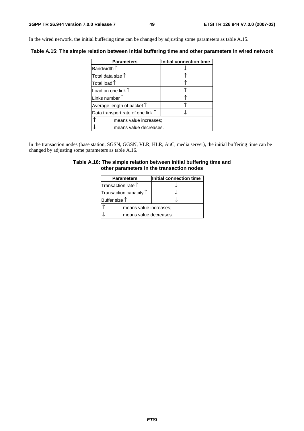In the wired network, the initial buffering time can be changed by adjusting some parameters as table A.15.

**Table A.15: The simple relation between initial buffering time and other parameters in wired network** 

| <b>Parameters</b>                          | Initial connection time |  |  |  |
|--------------------------------------------|-------------------------|--|--|--|
| Bandwidth $\uparrow$                       |                         |  |  |  |
| Total data size $\uparrow$                 |                         |  |  |  |
| Total load $\uparrow$                      |                         |  |  |  |
| Load on one link 1                         |                         |  |  |  |
| Links number $\uparrow$                    |                         |  |  |  |
| Average length of packet $\uparrow$        |                         |  |  |  |
| Data transport rate of one link $\uparrow$ |                         |  |  |  |
| means value increases;                     |                         |  |  |  |
| means value decreases.                     |                         |  |  |  |

In the transaction nodes (base station, SGSN, GGSN, VLR, HLR, AuC, media server), the initial buffering time can be changed by adjusting some parameters as table A.16.

#### **Table A.16: The simple relation between initial buffering time and other parameters in the transaction nodes**

| <b>Parameters</b>               | Initial connection time |  |  |  |
|---------------------------------|-------------------------|--|--|--|
| Transaction rate $\uparrow$     |                         |  |  |  |
| Transaction capacity $\uparrow$ |                         |  |  |  |
| Buffer size $\uparrow$          |                         |  |  |  |
|                                 | means value increases;  |  |  |  |
| means value decreases.          |                         |  |  |  |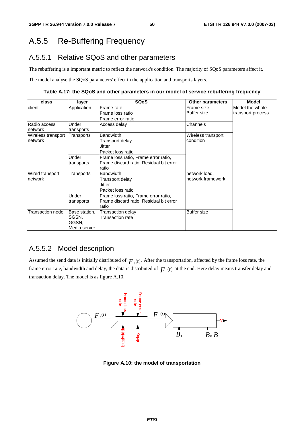# A.5.5 Re-Buffering Frequency

## A.5.5.1 Relative SQoS and other parameters

The rebuffering is a important metric to reflect the network's condition. The majority of SQoS parameters affect it.

The model analyse the SQoS parameters' effect in the application and transports layers.

**Table A.17: the SQoS and other parameters in our model of service rebuffering frequency** 

| class              | layer         | <b>SQoS</b>                             | <b>Other parameters</b> | <b>Model</b>      |
|--------------------|---------------|-----------------------------------------|-------------------------|-------------------|
| client             | Application   | Frame rate                              | Frame size              | Model the whole   |
|                    |               | Frame loss ratio                        | <b>Buffer size</b>      | transport process |
|                    |               | Frame error ratio                       |                         |                   |
| Radio access       | Under         | Access delay                            | Channels                |                   |
| network            | transports    |                                         |                         |                   |
| Wireless transport | Transports    | <b>Bandwidth</b>                        |                         |                   |
| network            |               | Transport delay                         | condition               |                   |
|                    |               | Jitter                                  |                         |                   |
|                    |               | Packet loss ratio                       |                         |                   |
|                    | Under         | Frame loss ratio, Frame error ratio,    |                         |                   |
|                    | transports    | Frame discard ratio, Residual bit error |                         |                   |
|                    |               | ratio                                   |                         |                   |
| Wired transport    | Transports    | <b>Bandwidth</b>                        | network load,           |                   |
| network            |               | Transport delay                         | network framework       |                   |
|                    |               | Jitter                                  |                         |                   |
|                    |               | Packet loss ratio                       |                         |                   |
|                    | Under         | Frame loss ratio, Frame error ratio,    |                         |                   |
|                    | transports    | Frame discard ratio, Residual bit error |                         |                   |
|                    |               | ratio                                   |                         |                   |
| Transaction node   | Base station, | Transaction delay                       | <b>Buffer size</b>      |                   |
|                    | SGSN.         | Transaction rate                        |                         |                   |
|                    | GGSN,         |                                         |                         |                   |
|                    | Media server  |                                         |                         |                   |

### A.5.5.2 Model description

Assumed the send data is initially distributed of  $F_0(t)$ . After the transportation, affected by the frame loss rate, the frame error rate, bandwidth and delay, the data is distributed of  $F(t)$  at the end. Here delay means transfer delay and transaction delay. The model is as figure A.10.



**Figure A.10: the model of transportation**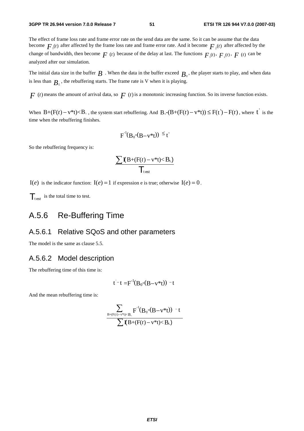The effect of frame loss rate and frame error rate on the send data are the same. So it can be assume that the data become  $F_{\mu}(t)$  after affected by the frame loss rate and frame error rate. And it become  $F_{\mu}(t)$  after affected by the change of bandwidth, then become  $F(t)$  because of the delay at last. The functions  $F_1(t)$ ,  $F_2(t)$ ,  $F(t)$  can be analyzed after our simulation.

The initial data size in the buffer  $B$ . When the data in the buffer exceed  $B_0$ , the player starts to play, and when data is less than  $B<sub>i</sub>$ , the rebuffering starts. The frame rate is V when it is playing.

 $F(t)$  means the amount of arrival data, so  $F(t)$  is a monotonic increasing function. So its inverse function exists.

When  $B+(F(t)-v^*t) < B_+$ , the system start rebuffering. And  $B_0-(B+(F(t)-v^*t)) \leq F(t')-F(t)$ , where  $t'$  is the time when the rebuffering finishes.

$$
F^{-1}(B_0-(B-v^*t)) \leq t'
$$

So the rebuffering frequency is:

$$
\frac{\sum \mathbf{I}(B+(F(t)-v^*t)
$$

 $I(e)$  is the indicator function:  $I(e) = 1$  if expression e is true; otherwise  $I(e) = 0$ .

 $\mathcal{T}_{\text{test}}$  is the total time to test.

# A.5.6 Re-Buffering Time

#### A.5.6.1 Relative SQoS and other parameters

The model is the same as clause 5.5.

#### A.5.6.2 Model description

The rebuffering time of this time is:

$$
t^-t = F^{-1}(B_0-(B-v^*t)) - t
$$

And the mean rebuffering time is:

$$
\frac{\displaystyle\sum_{B+(F(t)-v^*t)
$$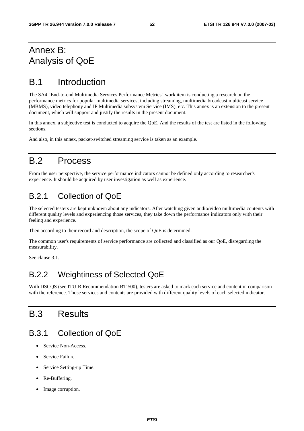# Annex B: Analysis of QoE

# B.1 Introduction

The SA4 "End-to-end Multimedia Services Performance Metrics" work item is conducting a research on the performance metrics for popular multimedia services, including streaming, multimedia broadcast multicast service (MBMS), video telephony and IP Multimedia subsystem Service (IMS), etc. This annex is an extension to the present document, which will support and justify the results in the present document.

In this annex, a subjective test is conducted to acquire the QoE. And the results of the test are listed in the following sections.

And also, in this annex, packet-switched streaming service is taken as an example.

## B.2 Process

From the user perspective, the service performance indicators cannot be defined only according to researcher's experience. It should be acquired by user investigation as well as experience.

## B.2.1 Collection of QoE

The selected testers are kept unknown about any indicators. After watching given audio/video multimedia contents with different quality levels and experiencing those services, they take down the performance indicators only with their feeling and experience.

Then according to their record and description, the scope of QoE is determined.

The common user's requirements of service performance are collected and classified as our QoE, disregarding the measurability.

See clause 3.1.

## B.2.2 Weightiness of Selected QoE

With DSCQS (see ITU-R Recommendation BT.500), testers are asked to mark each service and content in comparison with the reference. Those services and contents are provided with different quality levels of each selected indicator.

# B.3 Results

## B.3.1 Collection of QoE

- Service Non-Access.
- Service Failure.
- Service Setting-up Time.
- Re-Buffering.
- Image corruption.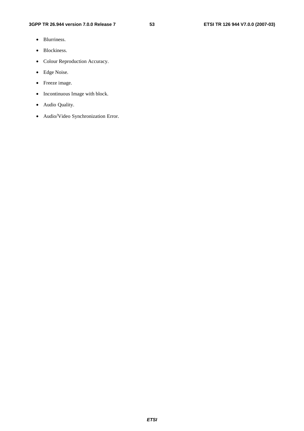- Blurriness.
- Blockiness.
- Colour Reproduction Accuracy.
- Edge Noise.
- Freeze image.
- Incontinuous Image with block.
- Audio Quality.
- Audio/Video Synchronization Error.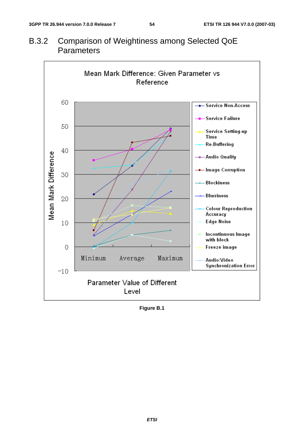# B.3.2 Comparison of Weightiness among Selected QoE **Parameters**



**Figure B.1**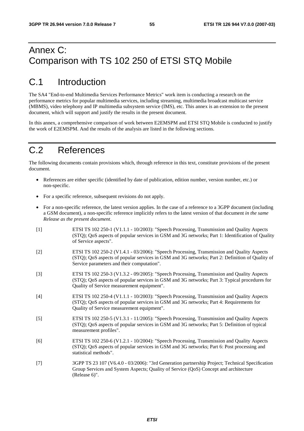# Annex C: Comparison with TS 102 250 of ETSI STQ Mobile

# C.1 Introduction

The SA4 "End-to-end Multimedia Services Performance Metrics" work item is conducting a research on the performance metrics for popular multimedia services, including streaming, multimedia broadcast multicast service (MBMS), video telephony and IP multimedia subsystem service (IMS), etc. This annex is an extension to the present document, which will support and justify the results in the present document.

In this annex, a comprehensive comparison of work between E2EMSPM and ETSI STQ Mobile is conducted to justify the work of E2EMSPM. And the results of the analysis are listed in the following sections.

# C.2 References

The following documents contain provisions which, through reference in this text, constitute provisions of the present document.

- References are either specific (identified by date of publication, edition number, version number, etc.) or non-specific.
- For a specific reference, subsequent revisions do not apply.
- For a non-specific reference, the latest version applies. In the case of a reference to a 3GPP document (including a GSM document), a non-specific reference implicitly refers to the latest version of that document *in the same Release as the present document*.
- [1] ETSI TS 102 250-1 (V1.1.1 10/2003): "Speech Processing, Transmission and Quality Aspects (STQ); QoS aspects of popular services in GSM and 3G networks; Part 1: Identification of Quality of Service aspects".
- [2] ETSI TS 102 250-2 (V1.4.1 03/2006): "Speech Processing, Transmission and Quality Aspects (STQ); QoS aspects of popular services in GSM and 3G networks; Part 2: Definition of Quality of Service parameters and their computation".
- [3] ETSI TS 102 250-3 (V1.3.2 09/2005): "Speech Processing, Transmission and Quality Aspects (STQ); QoS aspects of popular services in GSM and 3G networks; Part 3: Typical procedures for Quality of Service measurement equipment".
- [4] ETSI TS 102 250-4 (V1.1.1 10/2003): "Speech Processing, Transmission and Quality Aspects (STQ); QoS aspects of popular services in GSM and 3G networks; Part 4: Requirements for Quality of Service measurement equipment".
- [5] ETSI TS 102 250-5 (V1.3.1 11/2005): "Speech Processing, Transmission and Quality Aspects (STQ); QoS aspects of popular services in GSM and 3G networks; Part 5: Definition of typical measurement profiles".
- [6] ETSI TS 102 250-6 (V1.2.1 10/2004): "Speech Processing, Transmission and Quality Aspects (STQ); QoS aspects of popular services in GSM and 3G networks; Part 6: Post processing and statistical methods".
- [7] 3GPP TS 23 107 (V6.4.0 03/2006): "3rd Generation partnership Project; Technical Specification Group Services and System Aspects; Quality of Service (QoS) Concept and architecture (Release 6)".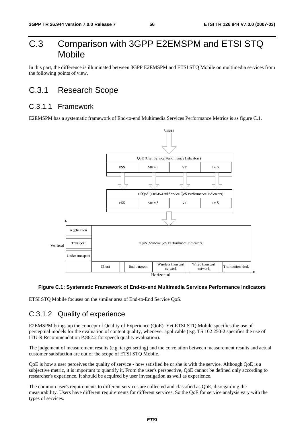# C.3 Comparison with 3GPP E2EMSPM and ETSI STQ Mobile

In this part, the difference is illuminated between 3GPP E2EMSPM and ETSI STQ Mobile on multimedia services from the following points of view.

## C.3.1 Research Scope

### C.3.1.1 Framework

E2EMSPM has a systematic framework of End-to-end Multimedia Services Performance Metrics is as figure C.1.



#### **Figure C.1: Systematic Framework of End-to-end Multimedia Services Performance Indicators**

ETSI STQ Mobile focuses on the similar area of End-to-End Service QoS.

## C.3.1.2 Quality of experience

Client Radio access Horizontal<br>
Horizontal<br>
Horizontal<br>
imilar area of End-to-End Service QoS.<br> **Clience**<br> **Clience**<br> **Clience**<br> **Clience**<br> **Clience**<br> **Clience**<br> **Clience**<br> **Clience**<br> **Clience**<br> **Clience**<br> **Clience**<br> **Clie** International<br>**Transferience**<br>The correl<br>and correl<br>and correl<br>and correl<br>and correl<br>Supply 2011<br>and correl<br>Supply 2013<br>Supply 2013<br>Supply 2013<br>Supply 2013<br>Supply 2013<br>Supply 2013<br>Supply 2013<br>Supply 2013<br>Supply 2013<br>Supply The Mobile strategy and the services Perture of the service of the service control of the service cannot be a service of the service of the service of the service of the service of the service of the service of the service network<br>
ices Performance Indi<br>
IS 102 250-2 specifies th<br>
rean measurement results<br>
the service. Although Qo<br>
innot be defined only acc<br>
rience.<br>
s QoE, disregarding the<br>
l' for service analysis vary E2EMSPM brings up the concept of Quality of Experience (QoE). Yet ETSI STQ Mobile specifies the use of perceptual models for the evaluation of content quality, whenever applicable (e.g. TS 102 250-2 specifies the use of ITU-R Recommendation P.862.2 for speech quality evaluation).

The judgement of measurement results (e.g. target setting) and the correlation between measurement results and actual customer satisfaction are out of the scope of ETSI STQ Mobile.

QoE is how a user perceives the quality of service - how satisfied he or she is with the service. Although QoE is a subjective metric, it is important to quantify it. From the user's perspective, QoE cannot be defined only according to researcher's experience. It should be acquired by user investigation as well as experience.

The common user's requirements to different services are collected and classified as QoE, disregarding the measurability. Users have different requirements for different services. So the QoE for service analysis vary with the types of services.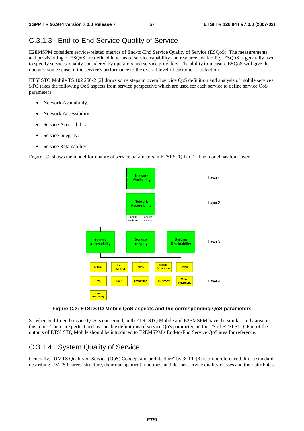## C.3.1.3 End-to-End Service Quality of Service

E2EMSPM considers service-related metrics of End-to-End Service Quality of Service (ESQoS). The measurements and provisioning of ESQoS are defined in terms of service capability and resource availability. ESQoS is generally used to specify services' quality considered by operators and service providers. The ability to measure ESQoS will give the operator some sense of the service's performance to the overall level of customer satisfaction.

ETSI STQ Mobile TS 102 250-2 [2] draws some steps in overall service QoS definition and analysis of mobile services. STQ takes the following QoS aspects from service perspective which are used for each service to define service QoS parameters.

- Network Availability.
- Network Accessibility.
- Service Accessibility.
- Service Integrity.
- Service Retainability.

Figure C.2 shows the model for quality of service parameters in ETSI STQ Part 2. The model has four layers.



#### **Figure C.2: ETSI STQ Mobile QoS aspects and the corresponding QoS parameters**

So when end-to-end service QoS is concerned, both ETSI STQ Mobile and E2EMSPM have the similar study area on this topic. There are perfect and reasonable definitions of service QoS parameters in the TS of ETSI STQ. Part of the outputs of ETSI STQ Mobile should be introduced to E2EMSPM's End-to-End Service QoS area for reference.

### C.3.1.4 System Quality of Service

Generally, "UMTS Quality of Service (QoS) Concept and architecture" by 3GPP [8] is often referenced. It is a standard, describing UMTS bearers' structure, their management functions, and defines service quality classes and their attributes.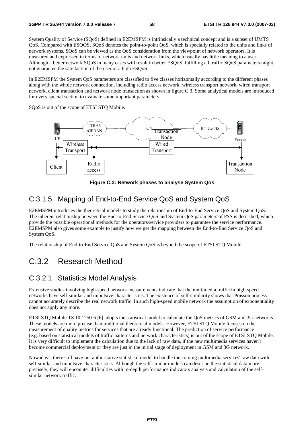System Quality of Service (SQoS) defined in E2EMSPM is intrinsically a technical concept and is a subset of UMTS QoS. Compared with ESQOS, SQoS denotes the point-to-point QoS, which is specially related to the units and links of network systems. SQoS can be viewed as the QoS consideration from the viewpoint of network operators. It is measured and expressed in terms of network units and network links, which usually has little meaning to a user. Although a better network SQoS in many cases will result in better ESQoS, fulfilling all traffic SQoS parameters might not guarantee the satisfaction of the user or a high ESQoS.

In E2EMSPM the System QoS parameters are classified to five classes horizontally according to the different phases along with the whole network connection, including radio access network, wireless transport network, wired transport network, client transaction and network node transaction as shown in figure C.3. Some analytical models are introduced for every special section to evaluate some important parameters.

SQoS is out of the scope of ETSI STQ Mobile.



**Figure C.3: Network phases to analyse System Qos** 

## C.3.1.5 Mapping of End-to-End Service QoS and System QoS

E2EMSPM introduces the theoretical models to study the relationship of End-to-End Service QoS and System QoS. The inherent relationship between the End-to-End Service QoS and System QoS parameters of PSS is described, which provide the possible operational methods for the operators/service providers to guarantee the service performance. E2EMSPM also gives some example to justify how we get the mapping between the End-to-End Service QoS and System QoS.

The relationship of End-to-End Service QoS and System QoS is beyond the scope of ETSI STQ Mobile.

## C.3.2 Research Method

#### C.3.2.1 Statistics Model Analysis

Extensive studies involving high-speed network measurements indicate that the multimedia traffic in high-speed networks have self-similar and impulsive characteristics. The existence of self-similarity shows that Poisson process cannot accurately describe the real network traffic. In such high-speed mobile network the assumption of exponentiality does not apply any more.

ETSI STQ Mobile TS 102 250-6 [6] adopts the statistical model to calculate the QoS metrics of GSM and 3G networks. These models are more precise than traditional theoretical models. However, ETSI STQ Mobile focuses on the measurement of quality metrics for services that are already functional. The prediction of service performance (e.g. based on statistical models of traffic patterns and network characteristics) is out of the scope of ETSI STQ Mobile. It is very difficult to implement the calculation due to the lack of raw data, if the new multimedia services haven't become commercial deployment or they are just in the initial stage of deployment in GSM and 3G network.

Nowadays, there still have not authoritative statistical model to handle the coming multimedia services' raw data with self-similar and impulsive characteristics. Although the self-similar models can describe the statistical data more precisely, they will encounter difficulties with in-depth performance indicators analysis and calculation of the selfsimilar network traffic.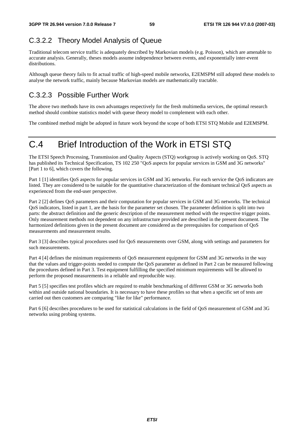# C.3.2.2 Theory Model Analysis of Queue

Traditional telecom service traffic is adequately described by Markovian models (e.g. Poisson), which are amenable to accurate analysis. Generally, theses models assume independence between events, and exponentially inter-event distributions.

Although queue theory fails to fit actual traffic of high-speed mobile networks, E2EMSPM still adopted these models to analyse the network traffic, mainly because Markovian models are mathematically tractable.

## C.3.2.3 Possible Further Work

The above two methods have its own advantages respectively for the fresh multimedia services, the optimal research method should combine statistics model with queue theory model to complement with each other.

The combined method might be adopted in future work beyond the scope of both ETSI STQ Mobile and E2EMSPM.

# C.4 Brief Introduction of the Work in ETSI STQ

The ETSI Speech Processing, Transmission and Quality Aspects (STQ) workgroup is actively working on QoS. STQ has published its Technical Specification, TS 102 250 "QoS aspects for popular services in GSM and 3G networks" [Part 1 to 6], which covers the following.

Part 1 [1] identifies QoS aspects for popular services in GSM and 3G networks. For each service the QoS indicators are listed. They are considered to be suitable for the quantitative characterization of the dominant technical QoS aspects as experienced from the end-user perspective.

Part 2 [2] defines QoS parameters and their computation for popular services in GSM and 3G networks. The technical QoS indicators, listed in part 1, are the basis for the parameter set chosen. The parameter definition is split into two parts: the abstract definition and the generic description of the measurement method with the respective trigger points. Only measurement methods not dependent on any infrastructure provided are described in the present document. The harmonized definitions given in the present document are considered as the prerequisites for comparison of QoS measurements and measurement results.

Part 3 [3] describes typical procedures used for QoS measurements over GSM, along with settings and parameters for such measurements.

Part 4 [4] defines the minimum requirements of QoS measurement equipment for GSM and 3G networks in the way that the values and trigger-points needed to compute the QoS parameter as defined in Part 2 can be measured following the procedures defined in Part 3. Test equipment fulfilling the specified minimum requirements will be allowed to perform the proposed measurements in a reliable and reproducible way.

Part 5 [5] specifies test profiles which are required to enable benchmarking of different GSM or 3G networks both within and outside national boundaries. It is necessary to have these profiles so that when a specific set of tests are carried out then customers are comparing "like for like" performance.

Part 6 [6] describes procedures to be used for statistical calculations in the field of QoS measurement of GSM and 3G networks using probing systems.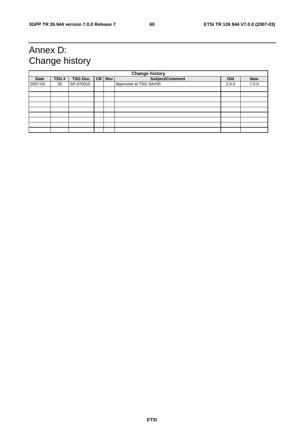# Annex D: Change history

| <b>Change history</b> |      |                 |  |            |                       |       |            |
|-----------------------|------|-----------------|--|------------|-----------------------|-------|------------|
| <b>Date</b>           | TSG# | <b>TSG Doc.</b> |  | $CR$ $Rev$ | Subject/Comment       | Old   | <b>New</b> |
| 2007-03               | 35   | SP-070015       |  |            | Approved at TSG SA#35 | 2.0.0 | 7.0.0      |
|                       |      |                 |  |            |                       |       |            |
|                       |      |                 |  |            |                       |       |            |
|                       |      |                 |  |            |                       |       |            |
|                       |      |                 |  |            |                       |       |            |
|                       |      |                 |  |            |                       |       |            |
|                       |      |                 |  |            |                       |       |            |
|                       |      |                 |  |            |                       |       |            |
|                       |      |                 |  |            |                       |       |            |
|                       |      |                 |  |            |                       |       |            |